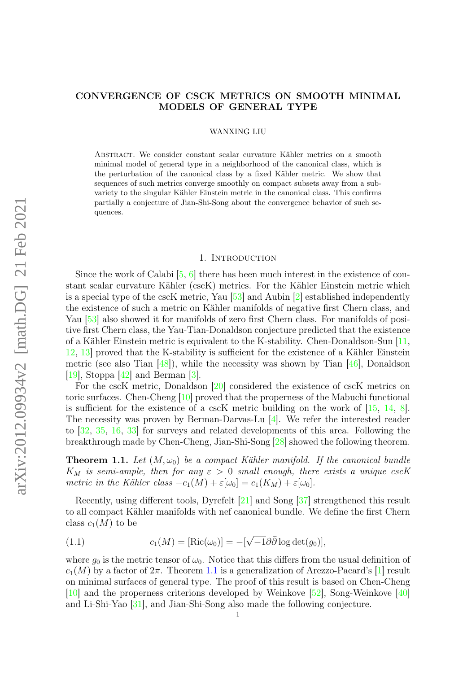## CONVERGENCE OF CSCK METRICS ON SMOOTH MINIMAL MODELS OF GENERAL TYPE

#### WANXING LIU

Abstract. We consider constant scalar curvature Kähler metrics on a smooth minimal model of general type in a neighborhood of the canonical class, which is the perturbation of the canonical class by a fixed Kähler metric. We show that sequences of such metrics converge smoothly on compact subsets away from a subvariety to the singular Kähler Einstein metric in the canonical class. This confirms partially a conjecture of Jian-Shi-Song about the convergence behavior of such sequences.

#### 1. INTRODUCTION

Since the work of Calabi  $[5, 6]$  $[5, 6]$  $[5, 6]$  there has been much interest in the existence of constant scalar curvature Kähler (cscK) metrics. For the Kähler Einstein metric which is a special type of the cscK metric, Yau [\[53\]](#page-21-0) and Aubin [\[2\]](#page-20-2) established independently the existence of such a metric on Kähler manifolds of negative first Chern class, and Yau [\[53\]](#page-21-0) also showed it for manifolds of zero first Chern class. For manifolds of positive first Chern class, the Yau-Tian-Donaldson conjecture predicted that the existence of a Kähler Einstein metric is equivalent to the K-stability. Chen-Donaldson-Sun [\[11,](#page-20-3) [12,](#page-20-4) [13\]](#page-20-5) proved that the K-stability is sufficient for the existence of a Kähler Einstein metric (see also Tian  $[48]$ ), while the necessity was shown by Tian  $[46]$ , Donaldson [\[19\]](#page-20-6), Stoppa [\[42\]](#page-21-3) and Berman [\[3\]](#page-20-7).

For the cscK metric, Donaldson [\[20\]](#page-20-8) considered the existence of cscK metrics on toric surfaces. Chen-Cheng [\[10\]](#page-20-9) proved that the properness of the Mabuchi functional is sufficient for the existence of a cscK metric building on the work of [\[15,](#page-20-10) [14,](#page-20-11) [8\]](#page-20-12). The necessity was proven by Berman-Darvas-Lu [\[4\]](#page-20-13). We refer the interested reader to [\[32,](#page-21-4) [35,](#page-21-5) [16,](#page-20-14) [33\]](#page-21-6) for surveys and related developments of this area. Following the breakthrough made by Chen-Cheng, Jian-Shi-Song [\[28\]](#page-20-15) showed the following theorem.

<span id="page-0-0"></span>**Theorem 1.1.** Let  $(M, \omega_0)$  be a compact Kähler manifold. If the canonical bundle  $K_M$  is semi-ample, then for any  $\varepsilon > 0$  small enough, there exists a unique cscK metric in the Kähler class  $-c_1(M) + \varepsilon[\omega_0] = c_1(K_M) + \varepsilon[\omega_0]$ .

Recently, using different tools, Dyrefelt [\[21\]](#page-20-16) and Song [\[37\]](#page-21-7) strengthened this result to all compact Kähler manifolds with nef canonical bundle. We define the first Chern class  $c_1(M)$  to be

(1.1) 
$$
c_1(M) = [\text{Ric}(\omega_0)] = -[\sqrt{-1}\partial\overline{\partial}\log \det(g_0)],
$$

where  $g_0$  is the metric tensor of  $\omega_0$ . Notice that this differs from the usual definition of  $c_1(M)$  by a factor of  $2\pi$ . Theorem [1.1](#page-0-0) is a generalization of Arezzo-Pacard's [\[1\]](#page-20-17) result on minimal surfaces of general type. The proof of this result is based on Chen-Cheng [\[10\]](#page-20-9) and the properness criterions developed by Weinkove [\[52\]](#page-21-8), Song-Weinkove [\[40\]](#page-21-9) and Li-Shi-Yao [\[31\]](#page-21-10), and Jian-Shi-Song also made the following conjecture.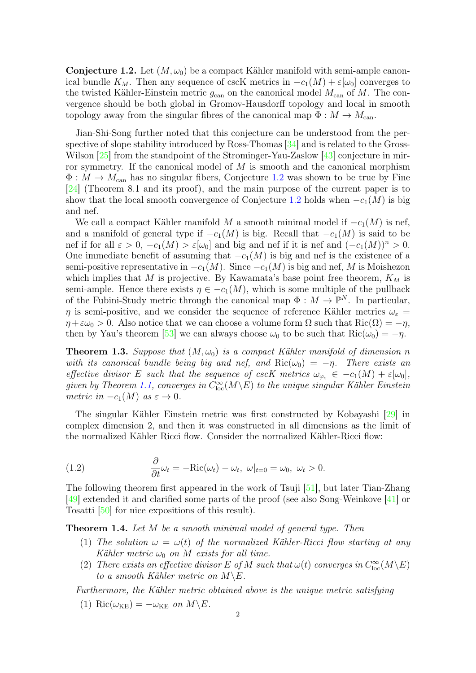<span id="page-1-0"></span>**Conjecture 1.2.** Let  $(M, \omega_0)$  be a compact Kähler manifold with semi-ample canonical bundle  $K_M$ . Then any sequence of cscK metrics in  $-c_1(M) + \varepsilon[\omega_0]$  converges to the twisted Kähler-Einstein metric  $g_{\text{can}}$  on the canonical model  $M_{\text{can}}$  of M. The convergence should be both global in Gromov-Hausdorff topology and local in smooth topology away from the singular fibres of the canonical map  $\Phi : M \to M_{\text{can}}$ .

Jian-Shi-Song further noted that this conjecture can be understood from the perspective of slope stability introduced by Ross-Thomas [\[34\]](#page-21-11) and is related to the Gross-Wilson [\[25\]](#page-20-18) from the standpoint of the Strominger-Yau-Zaslow [\[43\]](#page-21-12) conjecture in mirror symmetry. If the canonical model of  $M$  is smooth and the canonical morphism  $\Phi: M \to M_{\text{can}}$  has no singular fibers, Conjecture [1.2](#page-1-0) was shown to be true by Fine [\[24\]](#page-20-19) (Theorem 8.1 and its proof), and the main purpose of the current paper is to show that the local smooth convergence of Conjecture [1](#page-1-0).2 holds when  $-c_1(M)$  is big and nef.

We call a compact Kähler manifold M a smooth minimal model if  $-c_1(M)$  is nef, and a manifold of general type if  $-c_1(M)$  is big. Recall that  $-c_1(M)$  is said to be nef if for all  $\varepsilon > 0$ ,  $-c_1(M) > \varepsilon[\omega_0]$  and big and nef if it is nef and  $(-c_1(M))^n > 0$ . One immediate benefit of assuming that  $-c_1(M)$  is big and nef is the existence of a semi-positive representative in  $-c_1(M)$ . Since  $-c_1(M)$  is big and nef, M is Moishezon which implies that M is projective. By Kawamata's base point free theorem,  $K_M$  is semi-ample. Hence there exists  $\eta \in -c_1(M)$ , which is some multiple of the pullback of the Fubini-Study metric through the canonical map  $\Phi : M \to \mathbb{P}^N$ . In particular,  $\eta$  is semi-positive, and we consider the sequence of reference Kähler metrics  $\omega_{\varepsilon} =$  $\eta + \varepsilon \omega_0 > 0$ . Also notice that we can choose a volume form  $\Omega$  such that  $\text{Ric}(\Omega) = -\eta$ , then by Yau's theorem [\[53\]](#page-21-0) we can always choose  $\omega_0$  to be such that  $\text{Ric}(\omega_0) = -\eta$ .

<span id="page-1-1"></span>**Theorem 1.3.** Suppose that  $(M, \omega_0)$  is a compact Kähler manifold of dimension n with its canonical bundle being big and nef, and  $\text{Ric}(\omega_0) = -\eta$ . There exists an effective divisor E such that the sequence of cscK metrics  $\omega_{\varphi_{\varepsilon}} \in -c_1(M) + \varepsilon[\omega_0],$ given by Theorem [1.1,](#page-0-0) converges in  $C_{\text{loc}}^{\infty}(M\backslash E)$  to the unique singular Kähler Einstein metric in  $-c_1(M)$  as  $\varepsilon \to 0$ .

The singular Kähler Einstein metric was first constructed by Kobayashi [\[29\]](#page-21-13) in complex dimension 2, and then it was constructed in all dimensions as the limit of the normalized Kähler Ricci flow. Consider the normalized Kähler-Ricci flow:

(1.2) 
$$
\frac{\partial}{\partial t}\omega_t = -\text{Ric}(\omega_t) - \omega_t, \ \omega|_{t=0} = \omega_0, \ \omega_t > 0.
$$

The following theorem first appeared in the work of Tsuji [\[51\]](#page-21-14), but later Tian-Zhang [\[49\]](#page-21-15) extended it and clarified some parts of the proof (see also Song-Weinkove [\[41\]](#page-21-16) or Tosatti [\[50\]](#page-21-17) for nice expositions of this result).

<span id="page-1-2"></span>**Theorem 1.4.** Let M be a smooth minimal model of general type. Then

- (1) The solution  $\omega = \omega(t)$  of the normalized Kähler-Ricci flow starting at any Kähler metric  $\omega_0$  on M exists for all time.
- (2) There exists an effective divisor E of M such that  $\omega(t)$  converges in  $C^{\infty}_{loc}(M\backslash E)$ to a smooth Kähler metric on  $M \backslash E$ .

Furthermore, the Kähler metric obtained above is the unique metric satisfying

(1) Ric $(\omega_{KE}) = -\omega_{KE}$  on  $M \backslash E$ .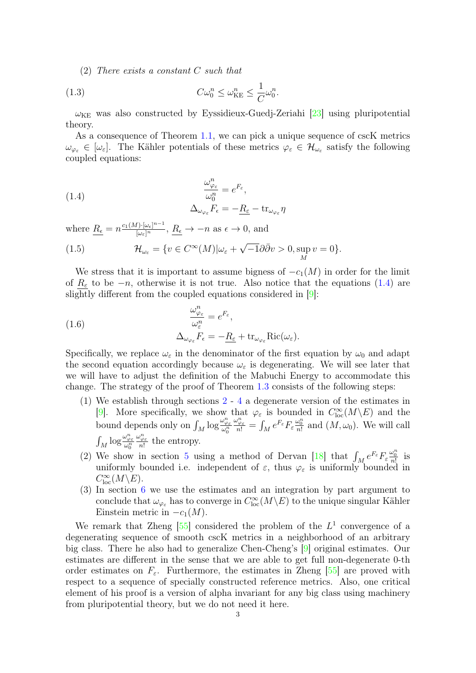(2) There exists a constant C such that

(1.3) 
$$
C\omega_0^n \leq \omega_{\text{KE}}^n \leq \frac{1}{C}\omega_0^n.
$$

 $\omega_{KE}$  was also constructed by Eyssidieux-Guedj-Zeriahi [\[23\]](#page-20-20) using pluripotential theory.

As a consequence of Theorem [1.1,](#page-0-0) we can pick a unique sequence of cscK metrics  $\omega_{\varphi_{\varepsilon}} \in [\omega_{\varepsilon}]$ . The Kähler potentials of these metrics  $\varphi_{\varepsilon} \in \mathcal{H}_{\omega_{\varepsilon}}$  satisfy the following coupled equations:

<span id="page-2-0"></span>(1.4) 
$$
\frac{\omega_{\varphi_{\varepsilon}}^n}{\omega_0^n} = e^{F_{\varepsilon}},
$$

$$
\Delta_{\omega_{\varphi_{\varepsilon}}} F_{\varepsilon} = -\underline{R_{\varepsilon}} - \text{tr}_{\omega_{\varphi_{\varepsilon}}} \eta
$$

where  $\underline{R_{\epsilon}} = n \frac{c_1(M) \cdot [\omega_{\epsilon}]^{n-1}}{[\omega_{\epsilon}]^n}$ ,  $\underline{R_{\epsilon}} \to -n$  as  $\epsilon \to 0$ , and

(1.5) 
$$
\mathcal{H}_{\omega_{\varepsilon}} = \{v \in C^{\infty}(M) | \omega_{\varepsilon} + \sqrt{-1} \partial \bar{\partial} v > 0, \sup_{M} v = 0 \}.
$$

We stress that it is important to assume bigness of  $-c_1(M)$  in order for the limit of  $R_{\varepsilon}$  to be  $-n$ , otherwise it is not true. Also notice that the equations [\(1.4\)](#page-2-0) are slightly different from the coupled equations considered in [\[9\]](#page-20-21):

(1.6) 
$$
\frac{\omega_{\varphi_{\varepsilon}}^n}{\omega_{\varepsilon}^n} = e^{F_{\varepsilon}},
$$

$$
\Delta_{\omega_{\varphi_{\varepsilon}}} F_{\varepsilon} = -\underline{R_{\varepsilon}} + \text{tr}_{\omega_{\varphi_{\varepsilon}}} \text{Ric}(\omega_{\varepsilon}).
$$

Specifically, we replace  $\omega_{\varepsilon}$  in the denominator of the first equation by  $\omega_0$  and adapt the second equation accordingly because  $\omega_{\varepsilon}$  is degenerating. We will see later that we will have to adjust the definition of the Mabuchi Energy to accommodate this change. The strategy of the proof of Theorem [1.3](#page-1-1) consists of the following steps:

- (1) We establish through sections [2](#page-3-0) [4](#page-11-0) a degenerate version of the estimates in [\[9\]](#page-20-21). More specifically, we show that  $\varphi_{\varepsilon}$  is bounded in  $C^{\infty}_{loc}(M\backslash E)$  and the bound depends only on  $\int_M \log \frac{\omega_{\varphi_{\varepsilon}}^n}{\omega_0^n}$  $\frac{\omega_{\varphi_{\varepsilon}}^n}{n!} = \int_M e^{F_{\varepsilon}} F_{\varepsilon} \frac{\omega_0^n}{n!}$  and  $(M, \omega_0)$ . We will call  $\int_M \log \frac{\omega_{\varphi_{\varepsilon}}^n}{\omega_0^n}$  $\frac{\omega_{\varphi_{\varepsilon}}^n}{n!}$  the entropy.
- (2) We show in section [5](#page-15-0) using a method of Dervan [\[18\]](#page-20-22) that  $\int_M e^{F_\varepsilon} F_\varepsilon \frac{\omega_0^n}{n!}$  is uniformly bounded i.e. independent of  $\varepsilon$ , thus  $\varphi_{\varepsilon}$  is uniformly bounded in  $C^{\infty}_{\text{loc}}(M\backslash E).$
- (3) In section [6](#page-19-0) we use the estimates and an integration by part argument to conclude that  $\omega_{\varphi_{\varepsilon}}$  has to converge in  $C^{\infty}_{loc}(M\backslash E)$  to the unique singular Kähler Einstein metric in  $-c_1(M)$ .

We remark that Zheng  $[55]$  considered the problem of the  $L<sup>1</sup>$  convergence of a degenerating sequence of smooth cscK metrics in a neighborhood of an arbitrary big class. There he also had to generalize Chen-Cheng's [\[9\]](#page-20-21) original estimates. Our estimates are different in the sense that we are able to get full non-degenerate 0-th order estimates on  $F_{\varepsilon}$ . Furthermore, the estimates in Zheng [\[55\]](#page-21-18) are proved with respect to a sequence of specially constructed reference metrics. Also, one critical element of his proof is a version of alpha invariant for any big class using machinery from pluripotential theory, but we do not need it here.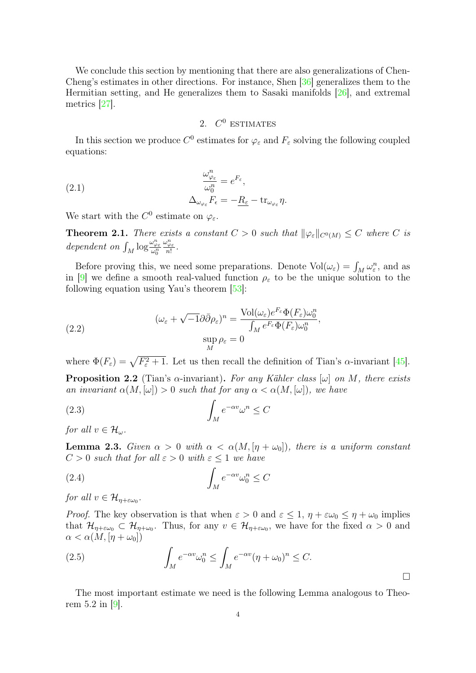We conclude this section by mentioning that there are also generalizations of Chen-Cheng's estimates in other directions. For instance, Shen [\[36\]](#page-21-19) generalizes them to the Hermitian setting, and He generalizes them to Sasaki manifolds [\[26\]](#page-20-23), and extremal metrics [\[27\]](#page-20-24).

# 2.  $C^0$  ESTIMATES

<span id="page-3-0"></span>In this section we produce  $C^0$  estimates for  $\varphi_{\varepsilon}$  and  $F_{\varepsilon}$  solving the following coupled equations:

(2.1) 
$$
\frac{\omega_{\varphi_{\varepsilon}}^n}{\omega_0^n} = e^{F_{\varepsilon}},
$$

$$
\Delta_{\omega_{\varphi_{\varepsilon}}} F_{\varepsilon} = -\underline{R_{\varepsilon}} - \text{tr}_{\omega_{\varphi_{\varepsilon}}} \eta.
$$

We start with the  $C^0$  estimate on  $\varphi_{\varepsilon}$ .

<span id="page-3-3"></span>**Theorem 2.1.** There exists a constant  $C > 0$  such that  $\|\varphi_{\varepsilon}\|_{C^0(M)} \leq C$  where C is dependent on  $\int_M \log \frac{\omega_{\varphi_{\varepsilon}}^n}{\omega_0^n}$  $\frac{\omega_{\varphi_{\varepsilon}}^n}{n!}$ .

Before proving this, we need some preparations. Denote  $Vol(\omega_{\varepsilon}) = \int_M \omega_{\varepsilon}^n$ , and as in [\[9\]](#page-20-21) we define a smooth real-valued function  $\rho_{\varepsilon}$  to be the unique solution to the following equation using Yau's theorem [\[53\]](#page-21-0):

<span id="page-3-1"></span>(2.2) 
$$
(\omega_{\varepsilon} + \sqrt{-1}\partial \bar{\partial}\rho_{\varepsilon})^{n} = \frac{\text{Vol}(\omega_{\varepsilon})e^{F_{\varepsilon}}\Phi(F_{\varepsilon})\omega_{0}^{n}}{\int_{M} e^{F_{\varepsilon}}\Phi(F_{\varepsilon})\omega_{0}^{n}},
$$

$$
\sup_{M} \rho_{\varepsilon} = 0
$$

where  $\Phi(F_{\varepsilon}) = \sqrt{F_{\varepsilon}^2 + 1}$ . Let us then recall the definition of Tian's  $\alpha$ -invariant [\[45\]](#page-21-20).

**Proposition 2.2** (Tian's  $\alpha$ -invariant). For any Kähler class  $[\omega]$  on M, there exists an invariant  $\alpha(M, [\omega]) > 0$  such that for any  $\alpha < \alpha(M, [\omega])$ , we have

$$
\int_M e^{-\alpha v} \omega^n \le C
$$

for all  $v \in \mathcal{H}_{\omega}$ .

<span id="page-3-2"></span>**Lemma 2.3.** Given  $\alpha > 0$  with  $\alpha < \alpha(M, [\eta + \omega_0])$ , there is a uniform constant  $C > 0$  such that for all  $\varepsilon > 0$  with  $\varepsilon \leq 1$  we have

$$
\int_M e^{-\alpha v} \omega_0^n \le C
$$

for all  $v \in \mathcal{H}_{\eta + \varepsilon \omega_0}$ .

*Proof.* The key observation is that when  $\varepsilon > 0$  and  $\varepsilon \leq 1$ ,  $\eta + \varepsilon \omega_0 \leq \eta + \omega_0$  implies that  $\mathcal{H}_{\eta+\varepsilon\omega_0} \subset \mathcal{H}_{\eta+\omega_0}$ . Thus, for any  $v \in \mathcal{H}_{\eta+\varepsilon\omega_0}$ , we have for the fixed  $\alpha > 0$  and  $\alpha < \alpha(M, [\eta + \omega_0])$ 

(2.5) 
$$
\int_M e^{-\alpha v} \omega_0^n \leq \int_M e^{-\alpha v} (\eta + \omega_0)^n \leq C.
$$

The most important estimate we need is the following Lemma analogous to Theorem 5.2 in [\[9\]](#page-20-21).

 $\Box$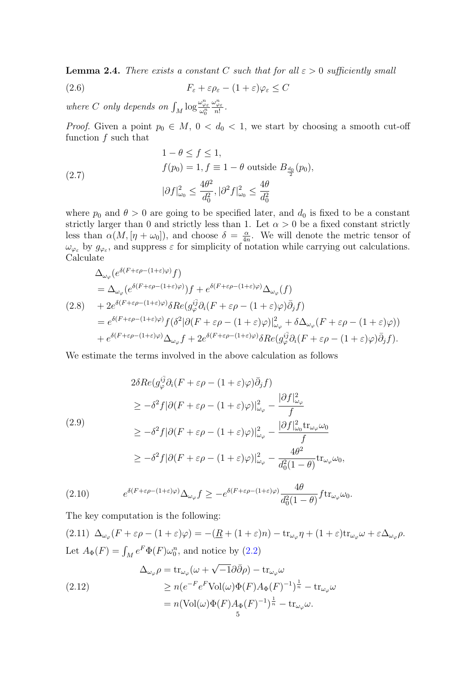<span id="page-4-0"></span>**Lemma 2.4.** There exists a constant C such that for all  $\varepsilon > 0$  sufficiently small

(2.6) 
$$
F_{\varepsilon} + \varepsilon \rho_{\varepsilon} - (1 + \varepsilon) \varphi_{\varepsilon} \leq C
$$

where C only depends on  $\int_M \log \frac{\omega_{\varphi_{\varepsilon}}^n}{\omega_0^n}$  $\frac{\omega_{\varphi_{\varepsilon}}^n}{n!}$ .

*Proof.* Given a point  $p_0 \in M$ ,  $0 < d_0 < 1$ , we start by choosing a smooth cut-off function f such that

(2.7) 
$$
1 - \theta \le f \le 1,
$$
  
\n
$$
f(p_0) = 1, f \equiv 1 - \theta \text{ outside } B_{\frac{d_0}{2}}(p_0),
$$
  
\n
$$
|\partial f|_{\omega_0}^2 \le \frac{4\theta^2}{d_0^2}, |\partial^2 f|_{\omega_0}^2 \le \frac{4\theta}{d_0^2}
$$

where  $p_0$  and  $\theta > 0$  are going to be specified later, and  $d_0$  is fixed to be a constant strictly larger than 0 and strictly less than 1. Let  $\alpha > 0$  be a fixed constant strictly less than  $\alpha(M, [\eta + \omega_0])$ , and choose  $\delta = \frac{\alpha}{4\pi}$  $\frac{\alpha}{4n}$ . We will denote the metric tensor of  $\omega_{\varphi_{\varepsilon}}$  by  $g_{\varphi_{\varepsilon}}$ , and suppress  $\varepsilon$  for simplicity of notation while carrying out calculations. Calculate

$$
\Delta_{\omega_{\varphi}}(e^{\delta(F+\varepsilon\rho-(1+\varepsilon)\varphi})f)
$$
\n
$$
= \Delta_{\omega_{\varphi}}(e^{\delta(F+\varepsilon\rho-(1+\varepsilon)\varphi})f) + e^{\delta(F+\varepsilon\rho-(1+\varepsilon)\varphi)}\Delta_{\omega_{\varphi}}(f)
$$
\n
$$
(2.8) \quad + 2e^{\delta(F+\varepsilon\rho-(1+\varepsilon)\varphi)}\delta Re(g_{\varphi}^{i\bar{j}}\partial_{i}(F+\varepsilon\rho-(1+\varepsilon)\varphi)\bar{\partial}_{j}f)
$$
\n
$$
= e^{\delta(F+\varepsilon\rho-(1+\varepsilon)\varphi)}f(\delta^{2}|\partial(F+\varepsilon\rho-(1+\varepsilon)\varphi)|_{\omega_{\varphi}}^{2} + \delta\Delta_{\omega_{\varphi}}(F+\varepsilon\rho-(1+\varepsilon)\varphi))
$$
\n
$$
+ e^{\delta(F+\varepsilon\rho-(1+\varepsilon)\varphi)}\Delta_{\omega_{\varphi}}f + 2e^{\delta(F+\varepsilon\rho-(1+\varepsilon)\varphi)}\delta Re(g_{\varphi}^{i\bar{j}}\partial_{i}(F+\varepsilon\rho-(1+\varepsilon)\varphi)\bar{\partial}_{j}f).
$$

We estimate the terms involved in the above calculation as follows

$$
2\delta Re(g_{\varphi}^{i\bar{j}}\partial_{i}(F+\varepsilon\rho-(1+\varepsilon)\varphi)\bar{\partial}_{j}f)
$$
  
\n
$$
\geq -\delta^{2}f|\partial(F+\varepsilon\rho-(1+\varepsilon)\varphi)|_{\omega_{\varphi}}^{2} - \frac{|\partial f|_{\omega_{\varphi}}^{2}}{f}
$$
  
\n(2.9)  
\n
$$
\geq -\delta^{2}f|\partial(F+\varepsilon\rho-(1+\varepsilon)\varphi)|_{\omega_{\varphi}}^{2} - \frac{|\partial f|_{\omega_{0}}^{2}\mathrm{tr}_{\omega_{\varphi}}\omega_{0}}{f}
$$
  
\n
$$
\geq -\delta^{2}f|\partial(F+\varepsilon\rho-(1+\varepsilon)\varphi)|_{\omega_{\varphi}}^{2} - \frac{4\theta^{2}}{d_{0}^{2}(1-\theta)}\mathrm{tr}_{\omega_{\varphi}}\omega_{0},
$$

(2.10) 
$$
e^{\delta(F+\varepsilon\rho-(1+\varepsilon)\varphi)}\Delta_{\omega_{\varphi}}f \geq -e^{\delta(F+\varepsilon\rho-(1+\varepsilon)\varphi)}\frac{4\theta}{d_0^2(1-\theta)}f \text{tr}_{\omega_{\varphi}}\omega_0.
$$

The key computation is the following:

 $(2.11) \ \Delta_{\omega_{\varphi}}(F+\varepsilon\rho-(1+\varepsilon)\varphi) = -(\underline{R}+(1+\varepsilon)n) - \text{tr}_{\omega_{\varphi}}\eta + (1+\varepsilon)\text{tr}_{\omega_{\varphi}}\omega + \varepsilon\Delta_{\omega_{\varphi}}\rho.$ Let  $A_{\Phi}(F) = \int_M e^F \Phi(F) \omega_0^n$ , and notice by [\(2.2\)](#page-3-1)

(2.12)  
\n
$$
\Delta_{\omega_{\varphi}} \rho = \text{tr}_{\omega_{\varphi}} (\omega + \sqrt{-1} \partial \bar{\partial} \rho) - \text{tr}_{\omega_{\varphi}} \omega
$$
\n
$$
\geq n(e^{-F}e^{F}\text{Vol}(\omega)\Phi(F)A_{\Phi}(F)^{-1})^{\frac{1}{n}} - \text{tr}_{\omega_{\varphi}} \omega
$$
\n
$$
= n(\text{Vol}(\omega)\Phi(F)A_{\Phi}(F)^{-1})^{\frac{1}{n}} - \text{tr}_{\omega_{\varphi}} \omega.
$$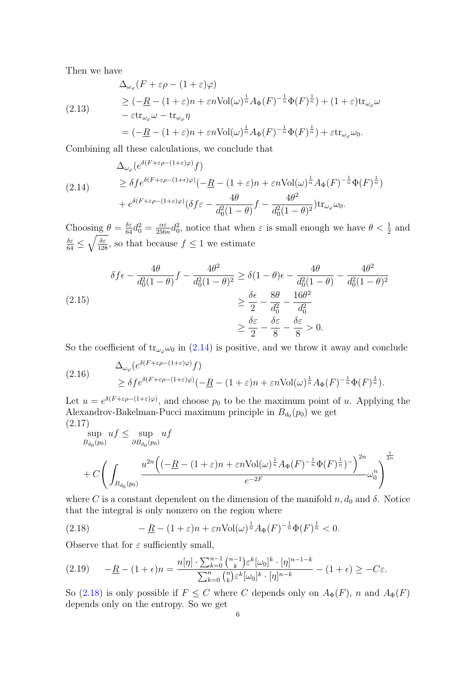Then we have

$$
\Delta_{\omega_{\varphi}}(F + \varepsilon \rho - (1 + \varepsilon)\varphi)
$$
\n
$$
\geq (-\underline{R} - (1 + \varepsilon)n + \varepsilon n \text{Vol}(\omega)^{\frac{1}{n}} A_{\Phi}(F)^{-\frac{1}{n}} \Phi(F)^{\frac{1}{n}}) + (1 + \varepsilon) \text{tr}_{\omega_{\varphi}} \omega
$$
\n
$$
- \varepsilon \text{tr}_{\omega_{\varphi}} \omega - \text{tr}_{\omega_{\varphi}} \eta
$$
\n
$$
= (-\underline{R} - (1 + \varepsilon)n + \varepsilon n \text{Vol}(\omega)^{\frac{1}{n}} A_{\Phi}(F)^{-\frac{1}{n}} \Phi(F)^{\frac{1}{n}}) + \varepsilon \text{tr}_{\omega_{\varphi}} \omega_0.
$$

Combining all these calculations, we conclude that

<span id="page-5-0"></span>
$$
\Delta_{\omega_{\varphi}}(e^{\delta(F+\varepsilon\rho-(1+\varepsilon)\varphi)}f)
$$
\n
$$
\geq \delta f e^{\delta(F+\varepsilon\rho-(1+\varepsilon)\varphi)}(-\underline{R}-(1+\varepsilon)n+\varepsilon n \text{Vol}(\omega)^{\frac{1}{n}}A_{\Phi}(F)^{-\frac{1}{n}}\Phi(F)^{\frac{1}{n}})
$$
\n
$$
+e^{\delta(F+\varepsilon\rho-(1+\varepsilon)\varphi)}(\delta f\varepsilon-\frac{4\theta}{d_0^2(1-\theta)}f-\frac{4\theta^2}{d_0^2(1-\theta)^2})\text{tr}_{\omega_{\varphi}}\omega_0.
$$

Choosing  $\theta = \frac{\delta \varepsilon}{64} d_0^2 = \frac{\alpha \varepsilon}{256}$  $\frac{\alpha \varepsilon}{256n} d_0^2$ , notice that when  $\varepsilon$  is small enough we have  $\theta < \frac{1}{2}$  and  $\frac{\delta \varepsilon}{64} \leq \sqrt{\frac{\delta \varepsilon}{128}}$ , so that because  $f \leq 1$  we estimate

$$
\delta f \epsilon - \frac{4\theta}{d_0^2 (1 - \theta)} f - \frac{4\theta^2}{d_0^2 (1 - \theta)^2} \ge \delta (1 - \theta) \epsilon - \frac{4\theta}{d_0^2 (1 - \theta)} - \frac{4\theta^2}{d_0^2 (1 - \theta)^2}
$$
  
(2.15)  

$$
\ge \frac{\delta \epsilon}{2} - \frac{8\theta}{d_0^2} - \frac{16\theta^2}{d_0^2}
$$
  

$$
\ge \frac{\delta \epsilon}{2} - \frac{\delta \epsilon}{8} - \frac{\delta \epsilon}{8} > 0.
$$

So the coefficient of  $tr_{\omega_{\varphi}}\omega_0$  in [\(2.14\)](#page-5-0) is positive, and we throw it away and conclude

(2.16) 
$$
\Delta_{\omega_{\varphi}}(e^{\delta(F+\varepsilon\rho-(1+\varepsilon)\varphi)}f) \leq \delta f e^{\delta(F+\varepsilon\rho-(1+\varepsilon)\varphi)}(-\underline{R}-(1+\varepsilon)n+\varepsilon n \text{Vol}(\omega)^{\frac{1}{n}}A_{\Phi}(F)^{-\frac{1}{n}}\Phi(F)^{\frac{1}{n}}).
$$

Let  $u = e^{\delta(F + \varepsilon \rho - (1 + \varepsilon)\varphi)}$ , and choose  $p_0$  to be the maximum point of u. Applying the Alexandrov-Bakelman-Pucci maximum principle in  $B_{d_0}(p_0)$  we get (2.17)

$$
\sup_{B_{d_0}(p_0)} u f \le \sup_{\partial B_{d_0}(p_0)} u f
$$
  
+  $C \left( \int_{B_{d_0}(p_0)} \frac{u^{2n} \left( (-\underline{R} - (1+\varepsilon)n + \varepsilon n \text{Vol}(\omega)^\frac{1}{n} A_{\Phi}(F)^{-\frac{1}{n}} \Phi(F)^{\frac{1}{n}})^{-} \right)^{2n}}{e^{-2F}} \omega_0^n \right)^{\frac{1}{2n}}$ 

where C is a constant dependent on the dimension of the manifold  $n, d_0$  and  $\delta$ . Notice that the integral is only nonzero on the region where

<span id="page-5-1"></span>(2.18) 
$$
- \underline{R} - (1 + \varepsilon)n + \varepsilon n \text{Vol}(\omega)^{\frac{1}{n}} A_{\Phi}(F)^{-\frac{1}{n}} \Phi(F)^{\frac{1}{n}} < 0.
$$

Observe that for  $\varepsilon$  sufficiently small,

$$
(2.19) \qquad -\underline{R} - (1+\epsilon)n = \frac{n[\eta] \cdot \sum_{k=0}^{n-1} {n-1 \choose k} \varepsilon^k [\omega_0]^k \cdot [\eta]^{n-1-k}}{\sum_{k=0}^n {n \choose k} \varepsilon^k [\omega_0]^k \cdot [\eta]^{n-k}} - (1+\epsilon) \ge -C\varepsilon.
$$

So [\(2.18\)](#page-5-1) is only possible if  $F \leq C$  where C depends only on  $A_{\Phi}(F)$ , n and  $A_{\Phi}(F)$ depends only on the entropy. So we get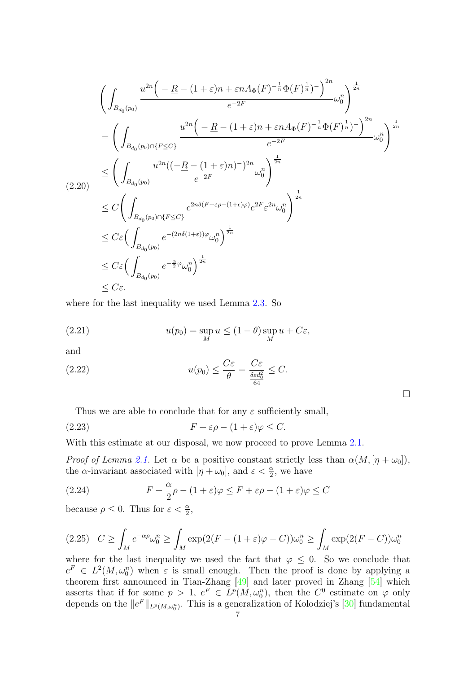$$
\left(\int_{B_{d_0}(p_0)} \frac{u^{2n}\left(-\underline{R} - (1+\varepsilon)n + \varepsilon n A_{\Phi}(F)^{-\frac{1}{n}} \Phi(F)^{\frac{1}{n}}\right)^{-}\right)^{2n}}{e^{-2F}} \omega_0^n \right)^{\frac{1}{2n}}
$$
\n
$$
= \left(\int_{B_{d_0}(p_0) \cap \{F \le C\}} \frac{u^{2n}\left(-\underline{R} - (1+\varepsilon)n + \varepsilon n A_{\Phi}(F)^{-\frac{1}{n}} \Phi(F)^{\frac{1}{n}}\right)^{-}\right)^{2n}}{e^{-2F}} \omega_0^n \right)^{\frac{1}{2n}}
$$
\n
$$
\le \left(\int_{B_{d_0}(p_0)} \frac{u^{2n}((-R - (1+\varepsilon)n)^{-})^{2n}}{e^{-2F}} \omega_0^n \right)^{\frac{1}{2n}}
$$
\n
$$
\le C \left(\int_{B_{d_0}(p_0) \cap \{F \le C\}} e^{2n\delta(F+\varepsilon\rho - (1+\varepsilon)\varphi)} e^{2F} \varepsilon^{2n} \omega_0^n \right)^{\frac{1}{2n}}
$$
\n
$$
\le C \varepsilon \left(\int_{B_{d_0}(p_0) \cap \{F \le C\}} e^{-(2n\delta(1+\varepsilon))\varphi} \omega_0^n \right)^{\frac{1}{2n}}
$$
\n
$$
\le C \varepsilon \left(\int_{B_{d_0}(p_0)} e^{-(2n\delta(1+\varepsilon))\varphi} \omega_0^n \right)^{\frac{1}{2n}}
$$
\n
$$
\le C \varepsilon.
$$

where for the last inequality we used Lemma [2.3.](#page-3-2) So

(2.21) 
$$
u(p_0) = \sup_M u \le (1 - \theta) \sup_M u + C\varepsilon,
$$

and

(2.22) 
$$
u(p_0) \leq \frac{C\varepsilon}{\theta} = \frac{C\varepsilon}{\frac{\delta \varepsilon d_0^2}{64}} \leq C.
$$

Thus we are able to conclude that for any  $\varepsilon$  sufficiently small,

$$
(2.23) \t\t\t F + \varepsilon \rho - (1 + \varepsilon) \varphi \le C.
$$

With this estimate at our disposal, we now proceed to prove Lemma [2.1.](#page-3-3)

*Proof of Lemma [2.1.](#page-3-3)* Let  $\alpha$  be a positive constant strictly less than  $\alpha(M, [\eta + \omega_0])$ , the  $\alpha$ -invariant associated with  $[\eta + \omega_0]$ , and  $\varepsilon < \frac{\alpha}{2}$ , we have

(2.24) 
$$
F + \frac{\alpha}{2}\rho - (1+\varepsilon)\varphi \leq F + \varepsilon\rho - (1+\varepsilon)\varphi \leq C
$$

because  $\rho \leq 0$ . Thus for  $\varepsilon < \frac{\alpha}{2}$ ,

$$
(2.25) \quad C \ge \int_M e^{-\alpha \rho} \omega_0^n \ge \int_M \exp(2(F - (1 + \varepsilon)\varphi - C)) \omega_0^n \ge \int_M \exp(2(F - C)) \omega_0^n
$$

where for the last inequality we used the fact that  $\varphi \leq 0$ . So we conclude that  $e^F \in L^2(M, \omega_0^n)$  when  $\varepsilon$  is small enough. Then the proof is done by applying a theorem first announced in Tian-Zhang [\[49\]](#page-21-15) and later proved in Zhang [\[54\]](#page-21-21) which asserts that if for some  $p > 1$ ,  $e^F \in L^p(M, \omega_0^n)$ , then the  $C^0$  estimate on  $\varphi$  only depends on the  $||e^F||_{L^p(M,\omega_0^n)}$ . This is a generalization of Kolodziej's [\[30\]](#page-21-22) fundamental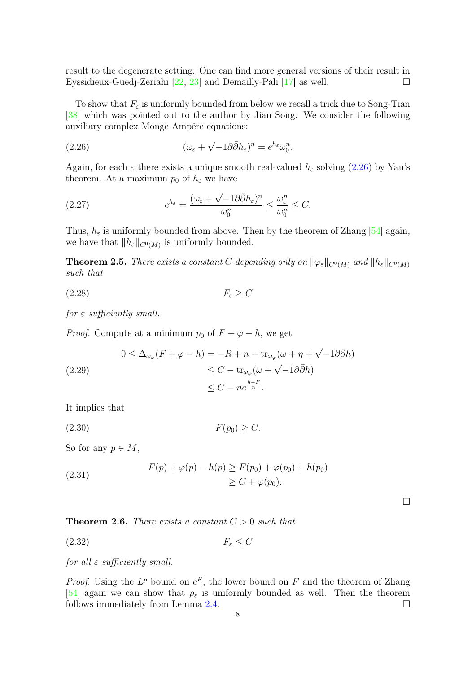result to the degenerate setting. One can find more general versions of their result in Eyssidieux-Guedj-Zeriahi  $[22, 23]$  $[22, 23]$  $[22, 23]$  and Demailly-Pali  $[17]$  as well.

To show that  $F<sub>\varepsilon</sub>$  is uniformly bounded from below we recall a trick due to Song-Tian [\[38\]](#page-21-23) which was pointed out to the author by Jian Song. We consider the following auxiliary complex Monge-Ampére equations:

<span id="page-7-0"></span>(2.26) 
$$
(\omega_{\varepsilon} + \sqrt{-1}\partial\bar{\partial}h_{\varepsilon})^n = e^{h_{\varepsilon}}\omega_0^n.
$$

Again, for each  $\varepsilon$  there exists a unique smooth real-valued  $h_{\varepsilon}$  solving [\(2.26\)](#page-7-0) by Yau's theorem. At a maximum  $p_0$  of  $h_\varepsilon$  we have

(2.27) 
$$
e^{h_{\varepsilon}} = \frac{(\omega_{\varepsilon} + \sqrt{-1}\partial\bar{\partial}h_{\varepsilon})^n}{\omega_0^n} \leq \frac{\omega_{\varepsilon}^n}{\omega_0^n} \leq C.
$$

Thus,  $h_{\varepsilon}$  is uniformly bounded from above. Then by the theorem of Zhang [\[54\]](#page-21-21) again, we have that  $||h_\varepsilon||_{C^0(M)}$  is uniformly bounded.

**Theorem 2.5.** There exists a constant C depending only on  $\|\varphi_{\varepsilon}\|_{C^0(M)}$  and  $\|h_{\varepsilon}\|_{C^0(M)}$ such that

$$
(2.28)\t\t\t F_{\varepsilon} \ge C
$$

for  $\varepsilon$  sufficiently small.

*Proof.* Compute at a minimum  $p_0$  of  $F + \varphi - h$ , we get

(2.29)  
\n
$$
0 \leq \Delta_{\omega_{\varphi}}(F + \varphi - h) = -\underline{R} + n - \text{tr}_{\omega_{\varphi}}(\omega + \eta + \sqrt{-1}\partial\bar{\partial}h)
$$
\n
$$
\leq C - \text{tr}_{\omega_{\varphi}}(\omega + \sqrt{-1}\partial\bar{\partial}h)
$$
\n
$$
\leq C - ne^{\frac{h - F}{n}}.
$$

It implies that

$$
(2.30) \t\t F(p_0) \ge C.
$$

So for any  $p \in M$ ,

(2.31) 
$$
F(p) + \varphi(p) - h(p) \ge F(p_0) + \varphi(p_0) + h(p_0) \ge C + \varphi(p_0).
$$

**Theorem 2.6.** There exists a constant  $C > 0$  such that

$$
(2.32) \t\t\t F_{\varepsilon} \le C
$$

for all  $\varepsilon$  sufficiently small.

*Proof.* Using the  $L^p$  bound on  $e^F$ , the lower bound on F and the theorem of Zhang [\[54\]](#page-21-21) again we can show that  $\rho_{\varepsilon}$  is uniformly bounded as well. Then the theorem follows immediately from Lemma [2.4.](#page-4-0)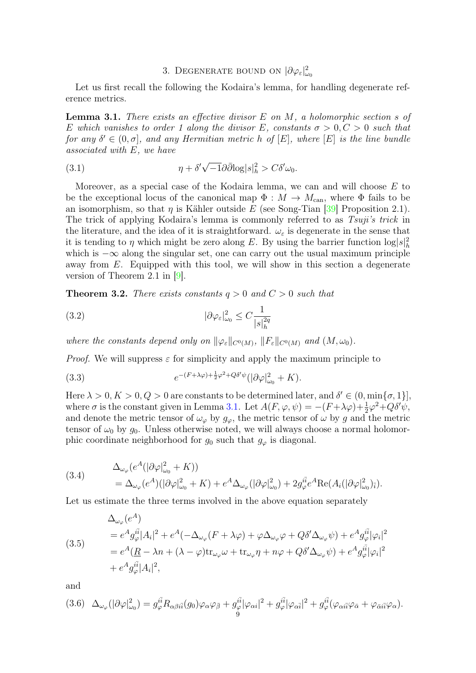# 3. DEGENERATE BOUND ON  $|\partial \varphi_{\varepsilon}|_{\omega_0}^2$

Let us first recall the following the Kodaira's lemma, for handling degenerate reference metrics.

<span id="page-8-0"></span>**Lemma 3.1.** There exists an effective divisor  $E$  on  $M$ , a holomorphic section s of E which vanishes to order 1 along the divisor E, constants  $\sigma > 0, C > 0$  such that for any  $\delta' \in (0, \sigma]$ , and any Hermitian metric h of  $[E]$ , where  $[E]$  is the line bundle associated with E, we have

(3.1) 
$$
\eta + \delta' \sqrt{-1} \partial \bar{\partial} \log |s|_h^2 > C \delta' \omega_0.
$$

Moreover, as a special case of the Kodaira lemma, we can and will choose E to be the exceptional locus of the canonical map  $\Phi : M \to M_{\text{can}}$ , where  $\Phi$  fails to be an isomorphism, so that  $\eta$  is Kähler outside E (see Song-Tian [\[39\]](#page-21-24) Proposition 2.1). The trick of applying Kodaira's lemma is commonly referred to as Tsuji's trick in the literature, and the idea of it is straightforward.  $\omega_{\varepsilon}$  is degenerate in the sense that it is tending to  $\eta$  which might be zero along E. By using the barrier function  $\log |s|_h^2$ which is  $-\infty$  along the singular set, one can carry out the usual maximum principle away from E. Equipped with this tool, we will show in this section a degenerate version of Theorem 2.1 in [\[9\]](#page-20-21).

<span id="page-8-1"></span>**Theorem 3.2.** There exists constants  $q > 0$  and  $C > 0$  such that

(3.2) 
$$
|\partial \varphi_{\varepsilon}|_{\omega_0}^2 \le C \frac{1}{|s|_h^{2q}}
$$

where the constants depend only on  $\|\varphi_{\varepsilon}\|_{C^0(M)}$ ,  $\|F_{\varepsilon}\|_{C^0(M)}$  and  $(M, \omega_0)$ .

*Proof.* We will suppress  $\varepsilon$  for simplicity and apply the maximum principle to

(3.3) 
$$
e^{-(F+\lambda\varphi)+\frac{1}{2}\varphi^2+Q\delta'\psi}(|\partial\varphi|^2_{\omega_0}+K).
$$

Here  $\lambda > 0, K > 0, Q > 0$  are constants to be determined later, and  $\delta' \in (0, \min\{\sigma, 1\}],$ where  $\sigma$  is the constant given in Lemma [3.1.](#page-8-0) Let  $A(F, \varphi, \psi) = -(F + \lambda \varphi) + \frac{1}{2} \varphi^2 + Q \delta' \psi$ , and denote the metric tensor of  $\omega_{\varphi}$  by  $g_{\varphi}$ , the metric tensor of  $\omega$  by g and the metric tensor of  $\omega_0$  by  $g_0$ . Unless otherwise noted, we will always choose a normal holomorphic coordinate neighborhood for  $g_0$  such that  $g_\varphi$  is diagonal.

(3.4) 
$$
\Delta_{\omega_{\varphi}}(e^{A}(|\partial \varphi|_{\omega_{0}}^{2} + K)) = \Delta_{\omega_{\varphi}}(e^{A})(|\partial \varphi|_{\omega_{0}}^{2} + K) + e^{A}\Delta_{\omega_{\varphi}}(|\partial \varphi|_{\omega_{0}}^{2}) + 2g_{\varphi}^{i\bar{i}}e^{A}\text{Re}(A_{i}(|\partial \varphi|_{\omega_{0}}^{2})_{\bar{i}}).
$$

Let us estimate the three terms involved in the above equation separately

(3.5)  
\n
$$
\Delta_{\omega_{\varphi}}(e^{A})
$$
\n
$$
= e^{A}g_{\varphi}^{i\bar{i}}|A_{i}|^{2} + e^{A}(-\Delta_{\omega_{\varphi}}(F + \lambda\varphi) + \varphi\Delta_{\omega_{\varphi}}\varphi + Q\delta'\Delta_{\omega_{\varphi}}\psi) + e^{A}g_{\varphi}^{i\bar{i}}|\varphi_{i}|^{2}
$$
\n
$$
= e^{A}(\underline{R} - \lambda n + (\lambda - \varphi)\text{tr}_{\omega_{\varphi}}\omega + \text{tr}_{\omega_{\varphi}}\eta + n\varphi + Q\delta'\Delta_{\omega_{\varphi}}\psi) + e^{A}g_{\varphi}^{i\bar{i}}|\varphi_{i}|^{2}
$$
\n
$$
+ e^{A}g_{\varphi}^{i\bar{i}}|A_{i}|^{2},
$$

and

$$
(3.6)\quad \Delta_{\omega_{\varphi}}(|\partial \varphi|_{\omega_0}^2) = g_{\varphi}^{i\bar{i}} R_{\alpha\beta i\bar{i}}(g_0) \varphi_{\alpha} \varphi_{\bar{\beta}} + g_{\varphi}^{i\bar{i}} |\varphi_{\alpha i}|^2 + g_{\varphi}^{i\bar{i}} |\varphi_{\alpha \bar{i}}|^2 + g_{\varphi}^{i\bar{i}} (\varphi_{\alpha i\bar{i}} \varphi_{\bar{\alpha}} + \varphi_{\bar{\alpha} i\bar{i}} \varphi_{\alpha}).
$$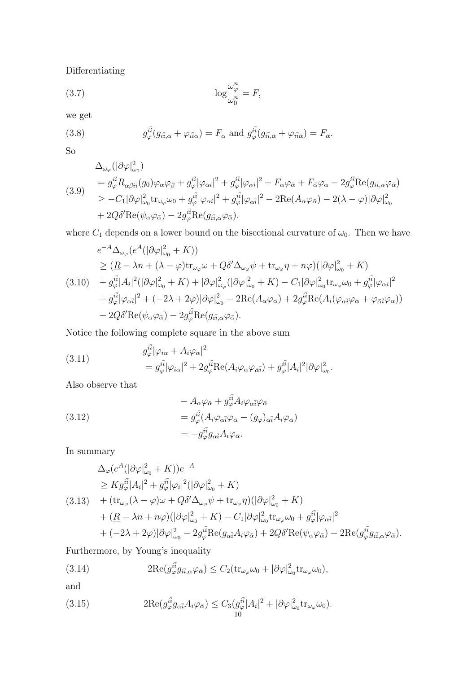Differentiating

(3.7) 
$$
\log \frac{\omega_{\varphi}^n}{\omega_0^n} = F,
$$

we get

(3.8) 
$$
g_{\varphi}^{i\bar{i}}(g_{i\bar{i},\alpha} + \varphi_{i\bar{i}\alpha}) = F_{\alpha} \text{ and } g_{\varphi}^{i\bar{i}}(g_{i\bar{i},\bar{\alpha}} + \varphi_{i\bar{i}\bar{\alpha}}) = F_{\bar{\alpha}}.
$$

So

$$
\Delta_{\omega_{\varphi}}(|\partial \varphi|_{\omega_{0}}^{2})
$$
\n
$$
= g_{\varphi}^{i\bar{i}} R_{\alpha\bar{\beta}i\bar{i}}(g_{0}) \varphi_{\alpha} \varphi_{\bar{\beta}} + g_{\varphi}^{i\bar{i}} |\varphi_{\alpha i}|^{2} + g_{\varphi}^{i\bar{i}} |\varphi_{\alpha \bar{i}}|^{2} + F_{\alpha} \varphi_{\bar{\alpha}} + F_{\bar{\alpha}} \varphi_{\alpha} - 2 g_{\varphi}^{i\bar{i}} \text{Re}(g_{i\bar{i},\alpha} \varphi_{\bar{\alpha}})
$$
\n
$$
\geq -C_{1} |\partial \varphi|_{\omega_{0}}^{2} \text{tr}_{\omega_{\varphi}} \omega_{0} + g_{\varphi}^{i\bar{i}} |\varphi_{\alpha i}|^{2} + g_{\varphi}^{i\bar{i}} |\varphi_{\alpha \bar{i}}|^{2} - 2 \text{Re}(A_{\alpha} \varphi_{\bar{\alpha}}) - 2(\lambda - \varphi)|\partial \varphi|_{\omega_{0}}^{2}
$$
\n
$$
+ 2Q \delta' \text{Re}(\psi_{\alpha} \varphi_{\bar{\alpha}}) - 2 g_{\varphi}^{i\bar{i}} \text{Re}(g_{i\bar{i},\alpha} \varphi_{\bar{\alpha}}).
$$

where  $C_1$  depends on a lower bound on the bisectional curvature of  $\omega_0$ . Then we have

$$
e^{-A}\Delta_{\omega_{\varphi}}(e^{A}(|\partial\varphi|_{\omega_{0}}^{2}+K))
$$
\n
$$
\geq (\underline{R}-\lambda n+(\lambda-\varphi)\text{tr}_{\omega_{\varphi}}\omega+Q\delta'\Delta_{\omega_{\varphi}}\psi+\text{tr}_{\omega_{\varphi}}\eta+n\varphi)(|\partial\varphi|_{\omega_{0}}^{2}+K)
$$
\n
$$
(3.10) \quad +g_{\varphi}^{i\bar{i}}|A_{i}|^{2}(|\partial\varphi|_{\omega_{0}}^{2}+K)+|\partial\varphi|_{\omega_{\varphi}}^{2}(|\partial\varphi|_{\omega_{0}}^{2}+K)-C_{1}|\partial\varphi|_{\omega_{0}}^{2}\text{tr}_{\omega_{\varphi}}\omega_{0}+g_{\varphi}^{i\bar{i}}|\varphi_{\alpha i}|^{2}
$$
\n
$$
+g_{\varphi}^{i\bar{i}}|\varphi_{\alpha\bar{i}}|^{2}+(-2\lambda+2\varphi)|\partial\varphi|_{\omega_{0}}^{2}-2\text{Re}(A_{\alpha}\varphi_{\bar{\alpha}})+2g_{\varphi}^{i\bar{i}}\text{Re}(A_{i}(\varphi_{\alpha\bar{i}}\varphi_{\bar{\alpha}}+\varphi_{\bar{\alpha}\bar{i}}\varphi_{\alpha}))
$$
\n
$$
+2Q\delta'\text{Re}(\psi_{\alpha}\varphi_{\bar{\alpha}})-2g_{\varphi}^{i\bar{i}}\text{Re}(g_{i\bar{i},\alpha}\varphi_{\bar{\alpha}}).
$$

Notice the following complete square in the above sum

(3.11) 
$$
g_{\varphi}^{i\bar{i}}|\varphi_{i\alpha} + A_i\varphi_{\alpha}|^2
$$

$$
= g_{\varphi}^{i\bar{i}}|\varphi_{i\alpha}|^2 + 2g_{\varphi}^{i\bar{i}}\text{Re}(A_i\varphi_{\alpha}\varphi_{\bar{\alpha}\bar{i}}) + g_{\varphi}^{i\bar{i}}|A_i|^2|\partial\varphi|_{\omega_0}^2.
$$

Also observe that

(3.12)  
\n
$$
\begin{aligned}\n&-A_{\alpha}\varphi_{\bar{\alpha}}+g_{\varphi}^{ii}A_{i}\varphi_{\alpha\bar{i}}\varphi_{\bar{\alpha}}\\
&=g_{\varphi}^{i\bar{i}}(A_{i}\varphi_{\alpha\bar{i}}\varphi_{\bar{\alpha}}-(g_{\varphi})_{\alpha\bar{i}}A_{i}\varphi_{\bar{\alpha}})\\
&=-g_{\varphi}^{i\bar{i}}g_{\alpha\bar{i}}A_{i}\varphi_{\bar{\alpha}}.\n\end{aligned}
$$

In summary

$$
\Delta_{\varphi}(e^{A}(|\partial\varphi|_{\omega_{0}}^{2}+K))e^{-A}
$$
\n
$$
\geq K g_{\varphi}^{i\bar{i}}|A_{i}|^{2}+g_{\varphi}^{i\bar{i}}|\varphi_{i}|^{2}(|\partial\varphi|_{\omega_{0}}^{2}+K)
$$
\n(3.13) 
$$
+(tr_{\omega_{\varphi}}(\lambda-\varphi)\omega+Q\delta'\Delta_{\omega_{\varphi}}\psi+tr_{\omega_{\varphi}}\eta)(|\partial\varphi|_{\omega_{0}}^{2}+K)
$$
\n
$$
+(\underline{R}-\lambda n+n\varphi)(|\partial\varphi|_{\omega_{0}}^{2}+K)-C_{1}|\partial\varphi|_{\omega_{0}}^{2}tr_{\omega_{\varphi}}\omega_{0}+g_{\varphi}^{i\bar{i}}|\varphi_{\alpha\bar{i}}|^{2}
$$
\n
$$
+(-2\lambda+2\varphi)|\partial\varphi|_{\omega_{0}}^{2}-2g_{\varphi}^{i\bar{i}}\text{Re}(g_{\alpha\bar{i}}A_{i}\varphi_{\bar{\alpha}})+2Q\delta'\text{Re}(\psi_{\alpha}\varphi_{\bar{\alpha}})-2\text{Re}(g_{\varphi}^{i\bar{i}}g_{i\bar{i},\alpha}\varphi_{\bar{\alpha}}).
$$

 $\overline{a}$ 

Furthermore, by Young's inequality

(3.14) 
$$
2\mathrm{Re}(g_{\varphi}^{i\bar{i}}g_{i\bar{i},\alpha}\varphi_{\bar{\alpha}}) \leq C_2(\mathrm{tr}_{\omega_{\varphi}}\omega_0 + |\partial \varphi|_{\omega_0}^2 \mathrm{tr}_{\omega_{\varphi}}\omega_0),
$$

and

(3.15) 
$$
2\text{Re}(g_{\varphi}^{i\bar{i}}g_{\alpha\bar{i}}A_i\varphi_{\bar{\alpha}}) \leq C_3(g_{\varphi}^{i\bar{i}}|A_i|^2 + |\partial \varphi|_{\omega_0}^2 \text{tr}_{\omega_{\varphi}}\omega_0).
$$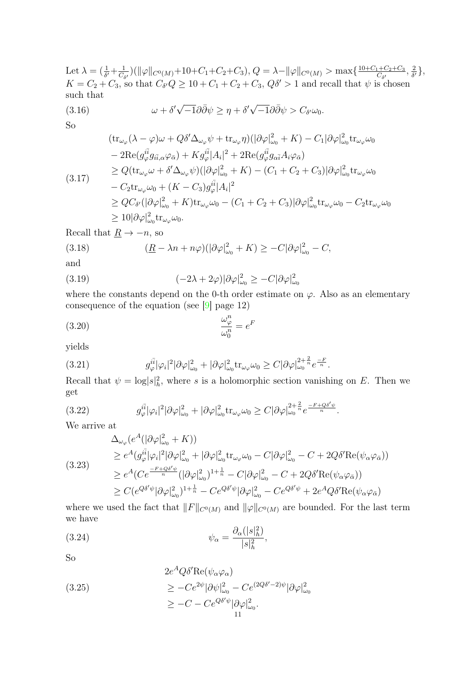Let  $\lambda = (\frac{1}{\delta'} + \frac{1}{C_{\delta}})$  $\frac{1}{C_{\delta'}}\big)(\|\varphi\|_{C^0(M)} + 10 + C_1 + C_2 + C_3), Q = \lambda - \|\varphi\|_{C^0(M)} > \max\{\frac{10 + C_1 + C_2 + C_3}{C_{\delta'}}\}$  $\frac{1+C_2+C_3}{C_{\delta'}}$ ,  $\frac{2}{\delta}$  $\frac{2}{\delta'}\},$  $K = C_2 + C_3$ , so that  $C_{\delta'}Q \ge 10 + C_1 + C_2 + C_3$ ,  $Q\delta' > 1$  and recall that  $\psi$  is chosen such that √ √

(3.16) 
$$
\omega + \delta' \sqrt{-1} \partial \bar{\partial} \psi \ge \eta + \delta' \sqrt{-1} \partial \bar{\partial} \psi > C_{\delta'} \omega_0.
$$

So

$$
(tr_{\omega_{\varphi}}(\lambda - \varphi)\omega + Q\delta' \Delta_{\omega_{\varphi}}\psi + tr_{\omega_{\varphi}}\eta)(|\partial \varphi|_{\omega_{0}}^{2} + K) - C_{1}|\partial \varphi|_{\omega_{0}}^{2}tr_{\omega_{\varphi}}\omega_{0}
$$
  
\n
$$
- 2\text{Re}(g_{\varphi}^{i\bar{i}}g_{i\bar{i},\alpha}\varphi_{\bar{\alpha}}) + Kg_{\varphi}^{i\bar{i}}|A_{i}|^{2} + 2\text{Re}(g_{\varphi}^{i\bar{i}}g_{\alpha\bar{i}}A_{i}\varphi_{\bar{\alpha}})
$$
  
\n
$$
\geq Q(tr_{\omega_{\varphi}}\omega + \delta' \Delta_{\omega_{\varphi}}\psi)(|\partial \varphi|_{\omega_{0}}^{2} + K) - (C_{1} + C_{2} + C_{3})|\partial \varphi|_{\omega_{0}}^{2}tr_{\omega_{\varphi}}\omega_{0}
$$
  
\n
$$
- C_{2}tr_{\omega_{\varphi}}\omega_{0} + (K - C_{3})g_{\varphi}^{i\bar{i}}|A_{i}|^{2}
$$
  
\n
$$
\geq QC_{\delta'}(|\partial \varphi|_{\omega_{0}}^{2} + K)tr_{\omega_{\varphi}}\omega_{0} - (C_{1} + C_{2} + C_{3})|\partial \varphi|_{\omega_{0}}^{2}tr_{\omega_{\varphi}}\omega_{0} - C_{2}tr_{\omega_{\varphi}}\omega_{0}
$$
  
\n
$$
\geq 10|\partial \varphi|_{\omega_{0}}^{2}tr_{\omega_{\varphi}}\omega_{0}.
$$

Recall that  $\underline{R} \rightarrow -n$ , so

(3.18) 
$$
\frac{(R - \lambda n + n\varphi)(|\partial \varphi|_{\omega_0}^2 + K)}{|\partial \varphi|_{\omega_0}^2 + K} \geq -C|\partial \varphi|_{\omega_0}^2 - C,
$$

and

(3.19) 
$$
(-2\lambda + 2\varphi)|\partial \varphi|_{\omega_0}^2 \geq -C|\partial \varphi|_{\omega_0}^2
$$

where the constants depend on the 0-th order estimate on  $\varphi$ . Also as an elementary consequence of the equation (see [\[9\]](#page-20-21) page 12)

$$
\frac{\omega_{\varphi}^n}{\omega_0^n} = e^F
$$

yields

(3.21) 
$$
g_{\varphi}^{i\bar{i}}|\varphi_{i}|^{2}|\partial\varphi|_{\omega_{0}}^{2}+|\partial\varphi|_{\omega_{0}}^{2}\text{tr}_{\omega_{\varphi}}\omega_{0}\geq C|\partial\varphi|_{\omega_{0}}^{2+\frac{2}{n}}e^{\frac{-F}{n}}.
$$

Recall that  $\psi = \log |s|_h^2$ , where s is a holomorphic section vanishing on E. Then we get

(3.22) 
$$
g_{\varphi}^{i\bar{i}} |\varphi_i|^2 |\partial \varphi|_{\omega_0}^2 + |\partial \varphi|_{\omega_0}^2 \text{tr}_{\omega_{\varphi}} \omega_0 \geq C |\partial \varphi|_{\omega_0}^{2 + \frac{2}{n}} e^{\frac{-F + Q\delta'\psi}{n}}.
$$

We arrive at

$$
\Delta_{\omega_{\varphi}}(e^{A}(|\partial\varphi|_{\omega_{0}}^{2}+K))
$$
\n
$$
\geq e^{A}(g_{\varphi}^{i\bar{i}}|\varphi_{i}|^{2}|\partial\varphi|_{\omega_{0}}^{2}+|\partial\varphi|_{\omega_{0}}^{2}\text{tr}_{\omega_{\varphi}}\omega_{0}-C|\partial\varphi|_{\omega_{0}}^{2}-C+2Q\delta'\text{Re}(\psi_{\alpha}\varphi_{\bar{\alpha}}))
$$
\n
$$
\geq e^{A}(Ce^{\frac{-F+Q\delta'\psi}{n}}(|\partial\varphi|_{\omega_{0}}^{2})^{1+\frac{1}{n}}-C|\partial\varphi|_{\omega_{0}}^{2}-C+2Q\delta'\text{Re}(\psi_{\alpha}\varphi_{\bar{\alpha}}))
$$
\n
$$
\geq C(e^{Q\delta'\psi}|\partial\varphi|_{\omega_{0}}^{2})^{1+\frac{1}{n}}-Ce^{Q\delta'\psi}|\partial\varphi|_{\omega_{0}}^{2}-Ce^{Q\delta'\psi}+2e^{A}Q\delta'\text{Re}(\psi_{\alpha}\varphi_{\bar{\alpha}})
$$

where we used the fact that  $||F||_{C^{0}(M)}$  and  $||\varphi||_{C^{0}(M)}$  are bounded. For the last term we have

(3.24) 
$$
\psi_{\alpha} = \frac{\partial_{\alpha}(|s|_{h}^{2})}{|s|_{h}^{2}},
$$

So

(3.25)  
\n
$$
2e^{A}Q\delta'\text{Re}(\psi_{\alpha}\varphi_{\alpha})
$$
\n
$$
\geq -Ce^{2\psi}|\partial\psi|_{\omega_{0}}^{2} - Ce^{(2Q\delta'-2)\psi}|\partial\varphi|_{\omega_{0}}^{2}
$$
\n
$$
\geq -C - Ce^{Q\delta'\psi}|\partial\varphi|_{\omega_{0}}^{2}.
$$
\n11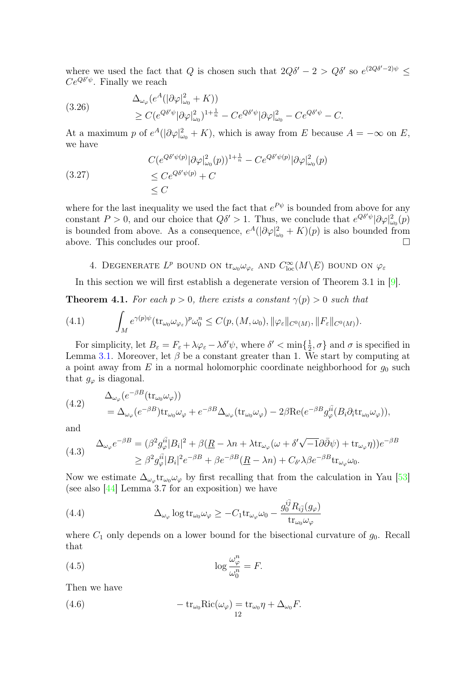where we used the fact that Q is chosen such that  $2Q\delta' - 2 > Q\delta'$  so  $e^{(2Q\delta' - 2)\psi} \le$  $Ce^{Q\delta'\psi}$ . Finally we reach

(3.26)  
\n
$$
\Delta_{\omega_{\varphi}}(e^{A}(|\partial \varphi|_{\omega_{0}}^{2} + K))
$$
\n
$$
\geq C(e^{Q\delta'\psi}|\partial \varphi|_{\omega_{0}}^{2})^{1 + \frac{1}{n}} - Ce^{Q\delta'\psi}|\partial \varphi|_{\omega_{0}}^{2} - Ce^{Q\delta'\psi} - C.
$$

At a maximum p of  $e^{A}(|\partial \varphi|_{\omega_0}^2 + K)$ , which is away from E because  $A = -\infty$  on E, we have

(3.27)  
\n
$$
C(e^{Q\delta'\psi(p)}|\partial\varphi|_{\omega_0}^2(p))^{1+\frac{1}{n}} - Ce^{Q\delta'\psi(p)}|\partial\varphi|_{\omega_0}^2(p)
$$
\n
$$
\leq Ce^{Q\delta'\psi(p)} + C
$$
\n
$$
\leq C
$$

where for the last inequality we used the fact that  $e^{P\psi}$  is bounded from above for any constant  $P > 0$ , and our choice that  $Q\delta' > 1$ . Thus, we conclude that  $e^{Q\delta'\psi}|\partial\varphi|_{\omega_0}^2(p)$ is bounded from above. As a consequence,  $e^{A}(|\partial \varphi|_{\omega_0}^2 + K)(p)$  is also bounded from above. This concludes our proof.

4. DEGENERATE  $L^p$  bound on  $\text{tr}_{\omega_0} \omega_{\varphi_{\varepsilon}}$  and  $C_{\text{loc}}^{\infty}(M \backslash E)$  bound on  $\varphi_{\varepsilon}$ 

<span id="page-11-0"></span>In this section we will first establish a degenerate version of Theorem 3.1 in [\[9\]](#page-20-21).

<span id="page-11-1"></span>**Theorem 4.1.** For each  $p > 0$ , there exists a constant  $\gamma(p) > 0$  such that

(4.1) 
$$
\int_M e^{\gamma(p)\psi} (\operatorname{tr}_{\omega_0} \omega_{\varphi_{\varepsilon}})^p \omega_0^n \leq C(p, (M, \omega_0), \|\varphi_{\varepsilon}\|_{C^0(M)}, \|F_{\varepsilon}\|_{C^0(M)}).
$$

For simplicity, let  $B_{\varepsilon} = F_{\varepsilon} + \lambda \varphi_{\varepsilon} - \lambda \delta' \psi$ , where  $\delta' < \min\{\frac{1}{2}, \sigma\}$  and  $\sigma$  is specified in Lemma [3.1.](#page-8-0) Moreover, let  $\beta$  be a constant greater than 1. We start by computing at a point away from  $E$  in a normal holomorphic coordinate neighborhood for  $g_0$  such that  $g_{\varphi}$  is diagonal.

(4.2) 
$$
\Delta_{\omega_{\varphi}}(e^{-\beta B}(\text{tr}_{\omega_0}\omega_{\varphi}))
$$
  
=  $\Delta_{\omega_{\varphi}}(e^{-\beta B})\text{tr}_{\omega_0}\omega_{\varphi} + e^{-\beta B}\Delta_{\omega_{\varphi}}(\text{tr}_{\omega_0}\omega_{\varphi}) - 2\beta \text{Re}(e^{-\beta B}g_{\varphi}^{i\bar{i}}(B_i\partial_i \text{tr}_{\omega_0}\omega_{\varphi})),$ 

and

(4.3) 
$$
\Delta_{\omega_{\varphi}} e^{-\beta B} = (\beta^2 g_{\varphi}^{i\bar{i}} |B_i|^2 + \beta(\underline{R} - \lambda n + \lambda \text{tr}_{\omega_{\varphi}}(\omega + \delta' \sqrt{-1} \partial \bar{\partial} \psi) + \text{tr}_{\omega_{\varphi}} \eta))e^{-\beta B}
$$

$$
\geq \beta^2 g_{\varphi}^{i\bar{i}} |B_i|^2 e^{-\beta B} + \beta e^{-\beta B}(\underline{R} - \lambda n) + C_{\delta'} \lambda \beta e^{-\beta B} \text{tr}_{\omega_{\varphi}} \omega_0.
$$

Now we estimate  $\Delta_{\omega_{\varphi}}$ tr<sub> $\omega_0 \omega_{\varphi}$ </sub> by first recalling that from the calculation in Yau [\[53\]](#page-21-0) (see also [\[44\]](#page-21-25) Lemma 3.7 for an exposition) we have

(4.4) 
$$
\Delta_{\omega_{\varphi}} \log \text{tr}_{\omega_0} \omega_{\varphi} \geq -C_1 \text{tr}_{\omega_{\varphi}} \omega_0 - \frac{g_0^{i\bar{j}} R_{i\bar{j}}(g_{\varphi})}{\text{tr}_{\omega_0} \omega_{\varphi}}
$$

where  $C_1$  only depends on a lower bound for the bisectional curvature of  $g_0$ . Recall that

(4.5) 
$$
\log \frac{\omega_{\varphi}^n}{\omega_0^n} = F.
$$

Then we have

(4.6) 
$$
-\operatorname{tr}_{\omega_0} \mathrm{Ric}(\omega_\varphi) = \operatorname{tr}_{\omega_0} \eta + \Delta_{\omega_0} F.
$$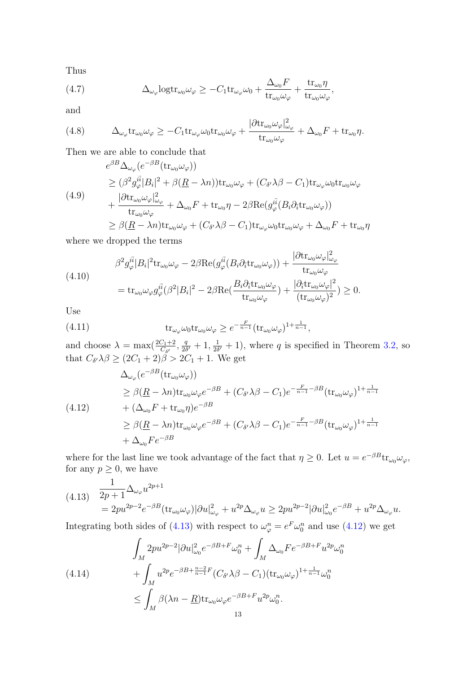Thus

(4.7) 
$$
\Delta_{\omega_{\varphi}} \text{logtr}_{\omega_0} \omega_{\varphi} \geq -C_1 \text{tr}_{\omega_{\varphi}} \omega_0 + \frac{\Delta_{\omega_0} F}{\text{tr}_{\omega_0} \omega_{\varphi}} + \frac{\text{tr}_{\omega_0} \eta}{\text{tr}_{\omega_0} \omega_{\varphi}},
$$

and

(4.8) 
$$
\Delta_{\omega_{\varphi}} \text{tr}_{\omega_0} \omega_{\varphi} \geq -C_1 \text{tr}_{\omega_{\varphi}} \omega_0 \text{tr}_{\omega_0} \omega_{\varphi} + \frac{|\partial \text{tr}_{\omega_0} \omega_{\varphi}|_{\omega_{\varphi}}^2}{\text{tr}_{\omega_0} \omega_{\varphi}} + \Delta_{\omega_0} F + \text{tr}_{\omega_0} \eta.
$$

Then we are able to conclude that

$$
e^{\beta B} \Delta_{\omega_{\varphi}} (e^{-\beta B} (\text{tr}_{\omega_{0}} \omega_{\varphi}))
$$
  
\n
$$
\geq (\beta^{2} g_{\varphi}^{i\bar{i}} |B_{i}|^{2} + \beta (\underline{R} - \lambda n)) \text{tr}_{\omega_{0}} \omega_{\varphi} + (C_{\delta'} \lambda \beta - C_{1}) \text{tr}_{\omega_{\varphi}} \omega_{0} \text{tr}_{\omega_{0}} \omega_{\varphi}
$$
  
\n
$$
+ \frac{|\partial \text{tr}_{\omega_{0}} \omega_{\varphi}|_{\omega_{\varphi}}^{2}}{\text{tr}_{\omega_{0}} \omega_{\varphi}} + \Delta_{\omega_{0}} F + \text{tr}_{\omega_{0}} \eta - 2\beta \text{Re} (g_{\varphi}^{i\bar{i}} (B_{i} \partial_{\bar{i}} \text{tr}_{\omega_{0}} \omega_{\varphi}))
$$
  
\n
$$
\geq \beta (\underline{R} - \lambda n) \text{tr}_{\omega_{0}} \omega_{\varphi} + (C_{\delta'} \lambda \beta - C_{1}) \text{tr}_{\omega_{\varphi}} \omega_{0} \text{tr}_{\omega_{0}} \omega_{\varphi} + \Delta_{\omega_{0}} F + \text{tr}_{\omega_{0}} \eta
$$

where we dropped the terms

(4.10)  
\n
$$
\beta^2 g_{\varphi}^{i\bar{i}} |B_i|^2 \text{tr}_{\omega_0} \omega_{\varphi} - 2\beta \text{Re}(g_{\varphi}^{i\bar{i}} (B_i \partial_{\bar{i}} \text{tr}_{\omega_0} \omega_{\varphi})) + \frac{|\partial \text{tr}_{\omega_0} \omega_{\varphi}|_{\omega_{\varphi}}^2}{\text{tr}_{\omega_0} \omega_{\varphi}}
$$
\n
$$
= \text{tr}_{\omega_0} \omega_{\varphi} g_{\varphi}^{i\bar{i}} (\beta^2 |B_i|^2 - 2\beta \text{Re}\left(\frac{B_i \partial_{\bar{i}} \text{tr}_{\omega_0} \omega_{\varphi}}{\text{tr}_{\omega_0} \omega_{\varphi}}\right) + \frac{|\partial_{\bar{i}} \text{tr}_{\omega_0} \omega_{\varphi}|^2}{(\text{tr}_{\omega_0} \omega_{\varphi})^2}) \ge 0.
$$

Use

(4.11) 
$$
\operatorname{tr}_{\omega_{\varphi}} \omega_0 \operatorname{tr}_{\omega_0} \omega_{\varphi} \geq e^{-\frac{F}{n-1}} (\operatorname{tr}_{\omega_0} \omega_{\varphi})^{1+\frac{1}{n-1}},
$$

and choose  $\lambda = \max(\frac{2C_1+2}{C_{\delta'}},\frac{q}{2\delta})$  $\frac{q}{2\delta'}+1, \frac{1}{2\delta}$  $\frac{1}{2\delta'}+1$ , where q is specified in Theorem [3.2,](#page-8-1) so that  $C_{\delta'}\lambda\beta \geq (2C_1+2)\beta > 2C_1+1$ . We get

<span id="page-12-1"></span>
$$
\Delta_{\omega_{\varphi}}(e^{-\beta B}(\text{tr}_{\omega_{0}}\omega_{\varphi}))
$$
\n
$$
\geq \beta(\underline{R} - \lambda n)\text{tr}_{\omega_{0}}\omega_{\varphi}e^{-\beta B} + (C_{\delta'}\lambda\beta - C_{1})e^{-\frac{F}{n-1} - \beta B}(\text{tr}_{\omega_{0}}\omega_{\varphi})^{1+\frac{1}{n-1}}
$$
\n
$$
+ (\Delta_{\omega_{0}}F + \text{tr}_{\omega_{0}}\eta)e^{-\beta B}
$$
\n
$$
\geq \beta(\underline{R} - \lambda n)\text{tr}_{\omega_{0}}\omega_{\varphi}e^{-\beta B} + (C_{\delta'}\lambda\beta - C_{1})e^{-\frac{F}{n-1} - \beta B}(\text{tr}_{\omega_{0}}\omega_{\varphi})^{1+\frac{1}{n-1}}
$$
\n
$$
+ \Delta_{\omega_{0}}Fe^{-\beta B}
$$

where for the last line we took advantage of the fact that  $\eta \geq 0$ . Let  $u = e^{-\beta B}$ tr<sub> $\omega_0 \omega_\varphi$ </sub>, for any  $p \geq 0$ , we have

<span id="page-12-0"></span>
$$
(4.13) \quad \frac{1}{2p+1} \Delta_{\omega_{\varphi}} u^{2p+1}
$$
  
=  $2pu^{2p-2}e^{-\beta B}(\text{tr}_{\omega_0}\omega_{\varphi})|\partial u|_{\omega_{\varphi}}^2 + u^{2p}\Delta_{\omega_{\varphi}} u \ge 2pu^{2p-2}|\partial u|_{\omega_0}^2 e^{-\beta B} + u^{2p}\Delta_{\omega_{\varphi}} u.$ 

Integrating both sides of [\(4.13\)](#page-12-0) with respect to  $\omega_{\varphi}^{n} = e^{F} \omega_{0}^{n}$  and use [\(4.12\)](#page-12-1) we get

<span id="page-12-2"></span>
$$
\int_{M} 2pu^{2p-2} |\partial u|_{\omega_0}^2 e^{-\beta B + F} \omega_0^n + \int_{M} \Delta_{\omega_0} F e^{-\beta B + F} u^{2p} \omega_0^n
$$
\n
$$
+ \int_{M} u^{2p} e^{-\beta B + \frac{n-2}{n-1}F} (C_{\delta'} \lambda \beta - C_1) (\text{tr}_{\omega_0} \omega_\varphi)^{1 + \frac{1}{n-1}} \omega_0^n
$$
\n
$$
\leq \int_{M} \beta(\lambda n - \underline{R}) \text{tr}_{\omega_0} \omega_\varphi e^{-\beta B + F} u^{2p} \omega_0^n.
$$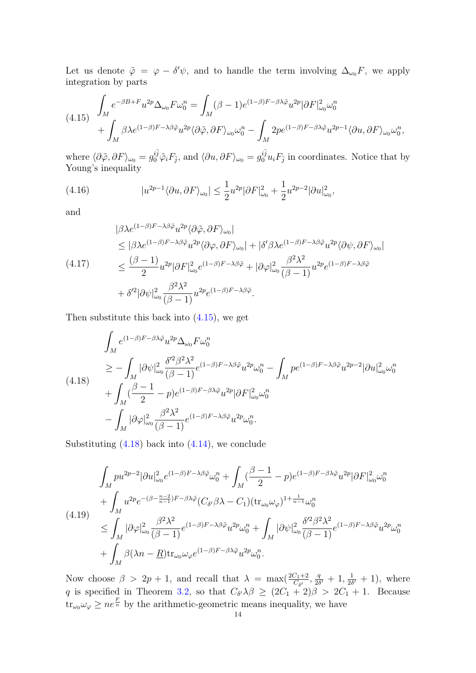Let us denote  $\tilde{\varphi} = \varphi - \delta' \psi$ , and to handle the term involving  $\Delta_{\omega_0} F$ , we apply integration by parts

<span id="page-13-0"></span>
$$
(4.15)\quad \int_M e^{-\beta B + F} u^{2p} \Delta_{\omega_0} F \omega_0^n = \int_M (\beta - 1) e^{(1 - \beta)F - \beta \lambda \tilde{\varphi}} u^{2p} |\partial F|^2_{\omega_0} \omega_0^n + \int_M \beta \lambda e^{(1 - \beta)F - \lambda \beta \tilde{\varphi}} u^{2p} \langle \partial \tilde{\varphi}, \partial F \rangle_{\omega_0} \omega_0^n - \int_M 2p e^{(1 - \beta)F - \beta \lambda \tilde{\varphi}} u^{2p - 1} \langle \partial u, \partial F \rangle_{\omega_0} \omega_0^n,
$$

where  $\langle \partial \tilde{\varphi}, \partial F \rangle_{\omega_0} = g_0^{i\bar{j}} \tilde{\varphi}_i F_{\bar{j}},$  and  $\langle \partial u, \partial F \rangle_{\omega_0} = g_0^{i\bar{j}} u_i F_{\bar{j}}$  in coordinates. Notice that by Young's inequality

(4.16) 
$$
|u^{2p-1}\langle \partial u, \partial F \rangle_{\omega_0}| \leq \frac{1}{2}u^{2p}|\partial F|_{\omega_0}^2 + \frac{1}{2}u^{2p-2}|\partial u|_{\omega_0}^2,
$$

and

$$
|\beta \lambda e^{(1-\beta)F-\lambda \beta \tilde{\varphi}} u^{2p} \langle \partial \tilde{\varphi}, \partial F \rangle_{\omega_0}|
$$
  
\n
$$
\leq |\beta \lambda e^{(1-\beta)F-\lambda \beta \tilde{\varphi}} u^{2p} \langle \partial \varphi, \partial F \rangle_{\omega_0}| + |\delta' \beta \lambda e^{(1-\beta)F-\lambda \beta \tilde{\varphi}} u^{2p} \langle \partial \psi, \partial F \rangle_{\omega_0}|
$$
  
\n
$$
\leq \frac{(\beta - 1)}{2} u^{2p} |\partial F|_{\omega_0}^2 e^{(1-\beta)F-\lambda \beta \tilde{\varphi}} + |\partial \varphi|_{\omega_0}^2 \frac{\beta^2 \lambda^2}{(\beta - 1)} u^{2p} e^{(1-\beta)F-\lambda \beta \tilde{\varphi}}
$$
  
\n
$$
+ \delta'^2 |\partial \psi|_{\omega_0}^2 \frac{\beta^2 \lambda^2}{(\beta - 1)} u^{2p} e^{(1-\beta)F-\lambda \beta \tilde{\varphi}}.
$$

Then substitute this back into  $(4.15)$ , we get

<span id="page-13-1"></span>
$$
\int_{M} e^{(1-\beta)F - \beta\lambda\tilde{\varphi}} u^{2p} \Delta_{\omega_{0}} F \omega_{0}^{n}
$$
\n
$$
\geq -\int_{M} |\partial \psi|_{\omega_{0}}^{2} \frac{\delta'^{2} \beta^{2} \lambda^{2}}{(\beta - 1)} e^{(1 - \beta)F - \lambda\beta\tilde{\varphi}} u^{2p} \omega_{0}^{n} - \int_{M} p e^{(1 - \beta)F - \lambda\beta\tilde{\varphi}} u^{2p-2} |\partial u|_{\omega_{0}}^{2} \omega_{0}^{n}
$$
\n
$$
+ \int_{M} (\frac{\beta - 1}{2} - p) e^{(1 - \beta)F - \beta\lambda\tilde{\varphi}} u^{2p} |\partial F|_{\omega_{0}}^{2} \omega_{0}^{n}
$$
\n
$$
- \int_{M} |\partial \varphi|_{\omega_{0}}^{2} \frac{\beta^{2} \lambda^{2}}{(\beta - 1)} e^{(1 - \beta)F - \lambda\beta\tilde{\varphi}} u^{2p} \omega_{0}^{n}.
$$

Substituting  $(4.18)$  back into  $(4.14)$ , we conclude

$$
\int_{M} p u^{2p-2} |\partial u|_{\omega_0}^2 e^{(1-\beta)F - \lambda \beta \tilde{\varphi}} \omega_0^n + \int_{M} (\frac{\beta - 1}{2} - p) e^{(1-\beta)F - \beta \lambda \tilde{\varphi}} u^{2p} |\partial F|_{\omega_0}^2 \omega_0^n \n+ \int_{M} u^{2p} e^{-(\beta - \frac{n-2}{n-1})F - \beta \lambda \tilde{\varphi}} (C_{\delta'} \beta \lambda - C_1) (\text{tr}_{\omega_0} \omega_{\varphi})^{1 + \frac{1}{n-1}} \omega_0^n \n\leq \int_{M} |\partial \varphi|_{\omega_0}^2 \frac{\beta^2 \lambda^2}{(\beta - 1)} e^{(1 - \beta)F - \lambda \beta \tilde{\varphi}} u^{2p} \omega_0^n + \int_{M} |\partial \psi|_{\omega_0}^2 \frac{\delta'^2 \beta^2 \lambda^2}{(\beta - 1)} e^{(1 - \beta)F - \lambda \beta \tilde{\varphi}} u^{2p} \omega_0^n \n+ \int_{M} \beta (\lambda n - \underline{R}) \text{tr}_{\omega_0} \omega_{\varphi} e^{(1 - \beta)F - \beta \lambda \tilde{\varphi}} u^{2p} \omega_0^n.
$$

Now choose  $\beta > 2p + 1$ , and recall that  $\lambda = \max(\frac{2C_1+2}{C_{\delta'}}), \frac{q}{2\delta}$  $\frac{q}{2\delta'}+1,\frac{1}{2\delta}$  $\frac{1}{2\delta'}+1$ , where q is specified in Theorem [3.2,](#page-8-1) so that  $C_{\delta'}\lambda\beta \geq (2C_1 + 2)\beta > 2C_1 + 1$ . Because  $\mathrm{tr}_{\omega_0} \omega_\varphi \geq n e^{\frac{F}{n}}$  by the arithmetic-geometric means inequality, we have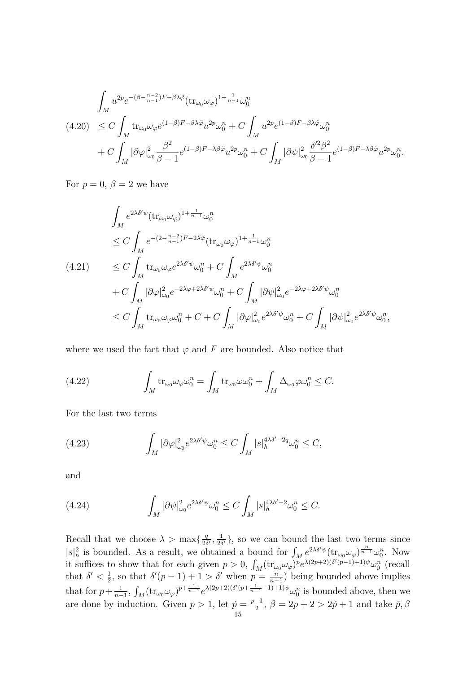<span id="page-14-0"></span>
$$
\int_{M} u^{2p} e^{-(\beta - \frac{n-2}{n-1})F - \beta \lambda \tilde{\varphi}} (\mathop{\rm tr}\nolimits_{\omega_{0}} \omega_{\varphi})^{1 + \frac{1}{n-1}} \omega_{0}^{n}
$$
\n
$$
(4.20) \leq C \int_{M} \mathop{\rm tr}\nolimits_{\omega_{0}} \omega_{\varphi} e^{(1-\beta)F - \beta \lambda \tilde{\varphi}} u^{2p} \omega_{0}^{n} + C \int_{M} u^{2p} e^{(1-\beta)F - \beta \lambda \tilde{\varphi}} \omega_{0}^{n}
$$
\n
$$
+ C \int_{M} |\partial \varphi|_{\omega_{0}}^{2} \frac{\beta^{2}}{\beta - 1} e^{(1-\beta)F - \lambda \beta \tilde{\varphi}} u^{2p} \omega_{0}^{n} + C \int_{M} |\partial \psi|_{\omega_{0}}^{2} \frac{\delta^{\prime 2} \beta^{2}}{\beta - 1} e^{(1-\beta)F - \lambda \beta \tilde{\varphi}} u^{2p} \omega_{0}^{n}.
$$

For  $p = 0$ ,  $\beta = 2$  we have

$$
\int_{M} e^{2\lambda \delta' \psi} (\text{tr}_{\omega_{0}} \omega_{\varphi})^{1+\frac{1}{n-1}} \omega_{0}^{n}
$$
\n
$$
\leq C \int_{M} e^{-(2-\frac{n-2}{n-1})F - 2\lambda \tilde{\varphi}} (\text{tr}_{\omega_{0}} \omega_{\varphi})^{1+\frac{1}{n-1}} \omega_{0}^{n}
$$
\n
$$
(4.21) \qquad \leq C \int_{M} \text{tr}_{\omega_{0}} \omega_{\varphi} e^{2\lambda \delta' \psi} \omega_{0}^{n} + C \int_{M} e^{2\lambda \delta' \psi} \omega_{0}^{n}
$$
\n
$$
+ C \int_{M} |\partial \varphi|_{\omega_{0}}^{2} e^{-2\lambda \varphi + 2\lambda \delta' \psi} \omega_{0}^{n} + C \int_{M} |\partial \psi|_{\omega_{0}}^{2} e^{-2\lambda \varphi + 2\lambda \delta' \psi} \omega_{0}^{n}
$$
\n
$$
\leq C \int_{M} \text{tr}_{\omega_{0}} \omega_{\varphi} \omega_{0}^{n} + C + C \int_{M} |\partial \varphi|_{\omega_{0}}^{2} e^{2\lambda \delta' \psi} \omega_{0}^{n} + C \int_{M} |\partial \psi|_{\omega_{0}}^{2} e^{2\lambda \delta' \psi} \omega_{0}^{n},
$$

where we used the fact that  $\varphi$  and F are bounded. Also notice that

(4.22) 
$$
\int_M \text{tr}_{\omega_0} \omega_{\varphi} \omega_0^n = \int_M \text{tr}_{\omega_0} \omega \omega_0^n + \int_M \Delta_{\omega_0} \varphi \omega_0^n \leq C.
$$

For the last two terms

(4.23) 
$$
\int_M |\partial \varphi|_{\omega_0}^2 e^{2\lambda \delta' \psi} \omega_0^n \le C \int_M |s|_h^{4\lambda \delta' - 2q} \omega_0^n \le C,
$$

and

(4.24) 
$$
\int_M |\partial \psi|^2_{\omega_0} e^{2\lambda \delta' \psi} \omega_0^n \leq C \int_M |s|_h^{4\lambda \delta' - 2} \omega_0^n \leq C.
$$

Recall that we choose  $\lambda > \max\{\frac{q}{2\lambda}\}$  $\frac{q}{2\delta'}$ ,  $\frac{1}{2\delta}$  $\frac{1}{2\delta'}$ , so we can bound the last two terms since  $|s|^2_h$  is bounded. As a result, we obtained a bound for  $\int_M e^{2\lambda \delta' \psi} (\text{tr}_{\omega_0} \omega_\varphi)^{\frac{n}{n-1}} \omega_0^n$ . Now it suffices to show that for each given  $p > 0$ ,  $\int_M (\text{tr}_{\omega_0} \omega_\varphi)^p e^{\lambda(2p+2)(\delta'(p-1)+1)\psi} \omega_0^n$  (recall that  $\delta' < \frac{1}{2}$  $\frac{1}{2}$ , so that  $\delta'(p-1)+1 > \delta'$  when  $p = \frac{n}{n-1}$  $\frac{n}{n-1}$ ) being bounded above implies that for  $p + \frac{1}{n}$  $\frac{1}{n-1}$ ,  $\int_M (\text{tr}_{\omega_0} \omega_\varphi)^{p+\frac{1}{n-1}} e^{\lambda(2p+2)(\delta'(p+\frac{1}{n-1}-1)+1)\psi} \omega_0^n$  is bounded above, then we are done by induction. Given  $p > 1$ , let  $\tilde{p} = \frac{p-1}{2}$  $\frac{-1}{2}$ ,  $\beta = 2p + 2 > 2\tilde{p} + 1$  and take  $\tilde{p}, \beta$ 15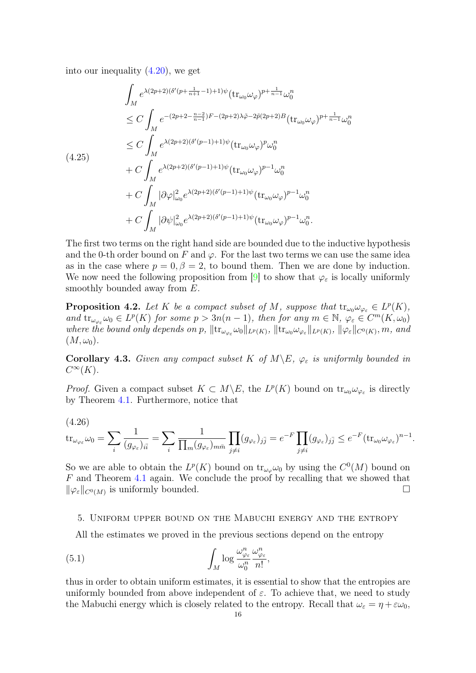into our inequality [\(4.20\)](#page-14-0), we get

$$
\int_{M} e^{\lambda(2p+2)(\delta'(p+\frac{1}{n+1}-1)+1)\psi} (\text{tr}_{\omega_{0}}\omega_{\varphi})^{p+\frac{1}{n-1}} \omega_{0}^{n}
$$
\n
$$
\leq C \int_{M} e^{-(2p+2-\frac{n-2}{n-1})F-(2p+2)\lambda\tilde{\varphi}-2\tilde{p}(2p+2)B} (\text{tr}_{\omega_{0}}\omega_{\varphi})^{p+\frac{1}{n-1}} \omega_{0}^{n}
$$
\n
$$
\leq C \int_{M} e^{\lambda(2p+2)(\delta'(p-1)+1)\psi} (\text{tr}_{\omega_{0}}\omega_{\varphi})^{p} \omega_{0}^{n}
$$
\n
$$
+ C \int_{M} e^{\lambda(2p+2)(\delta'(p-1)+1)\psi} (\text{tr}_{\omega_{0}}\omega_{\varphi})^{p-1} \omega_{0}^{n}
$$
\n
$$
+ C \int_{M} |\partial \varphi|_{\omega_{0}}^{2} e^{\lambda(2p+2)(\delta'(p-1)+1)\psi} (\text{tr}_{\omega_{0}}\omega_{\varphi})^{p-1} \omega_{0}^{n}
$$
\n
$$
+ C \int_{M} |\partial \psi|_{\omega_{0}}^{2} e^{\lambda(2p+2)(\delta'(p-1)+1)\psi} (\text{tr}_{\omega_{0}}\omega_{\varphi})^{p-1} \omega_{0}^{n}.
$$

The first two terms on the right hand side are bounded due to the inductive hypothesis and the 0-th order bound on F and  $\varphi$ . For the last two terms we can use the same idea as in the case where  $p = 0, \beta = 2$ , to bound them. Then we are done by induction. We now need the following proposition from [\[9\]](#page-20-21) to show that  $\varphi_{\varepsilon}$  is locally uniformly smoothly bounded away from  $E$ .

**Proposition 4.2.** Let K be a compact subset of M, suppose that  $tr_{\omega_0} \omega_{\varphi_{\varepsilon}} \in L^p(K)$ , and  $\text{tr}_{\omega_{\varphi_{\varepsilon}}}\omega_0 \in L^p(K)$  for some  $p > 3n(n-1)$ , then for any  $m \in \mathbb{N}$ ,  $\varphi_{\varepsilon} \in C^m(K, \omega_0)$ where the bound only depends on p,  $\|\text{tr}_{\omega_{\varphi_{\varepsilon}}}\omega_0\|_{L^p(K)}$ ,  $\|\text{tr}_{\omega_0}\omega_{\varphi_{\varepsilon}}\|_{L^p(K)}$ ,  $\|\varphi_{\varepsilon}\|_{C^0(K)}$ , m, and  $(M, \omega_0)$ .

**Corollary 4.3.** Given any compact subset K of  $M \setminus E$ ,  $\varphi_{\varepsilon}$  is uniformly bounded in  $C^{\infty}(K)$ .

*Proof.* Given a compact subset  $K \subset M \backslash E$ , the  $L^p(K)$  bound on  $\text{tr}_{\omega_0} \omega_{\varphi_{\varepsilon}}$  is directly by Theorem [4.1.](#page-11-1) Furthermore, notice that

(4.26)

$$
\operatorname{tr}_{\omega_{\varphi_{\varepsilon}}}\omega_0 = \sum_i \frac{1}{(g_{\varphi_{\varepsilon}})_{i\bar{i}}} = \sum_i \frac{1}{\prod_m (g_{\varphi_{\varepsilon}})_{m\bar{m}}} \prod_{j \neq i} (g_{\varphi_{\varepsilon}})_{j\bar{j}} = e^{-F} \prod_{j \neq i} (g_{\varphi_{\varepsilon}})_{j\bar{j}} \leq e^{-F} (\operatorname{tr}_{\omega_0} \omega_{\varphi_{\varepsilon}})^{n-1}.
$$

So we are able to obtain the  $L^p(K)$  bound on  $\text{tr}_{\omega_{\varphi}}\omega_0$  by using the  $C^0(M)$  bound on F and Theorem [4.1](#page-11-1) again. We conclude the proof by recalling that we showed that  $\|\varphi_{\varepsilon}\|_{C^{0}(M)}$  is uniformly bounded.

#### <span id="page-15-0"></span>5. Uniform upper bound on the Mabuchi energy and the entropy

All the estimates we proved in the previous sections depend on the entropy

(5.1) 
$$
\int_M \log \frac{\omega_{\varphi_\varepsilon}^n}{\omega_0^n} \frac{\omega_{\varphi_\varepsilon}^n}{n!},
$$

thus in order to obtain uniform estimates, it is essential to show that the entropies are uniformly bounded from above independent of  $\varepsilon$ . To achieve that, we need to study the Mabuchi energy which is closely related to the entropy. Recall that  $\omega_{\varepsilon} = \eta + \varepsilon \omega_0$ ,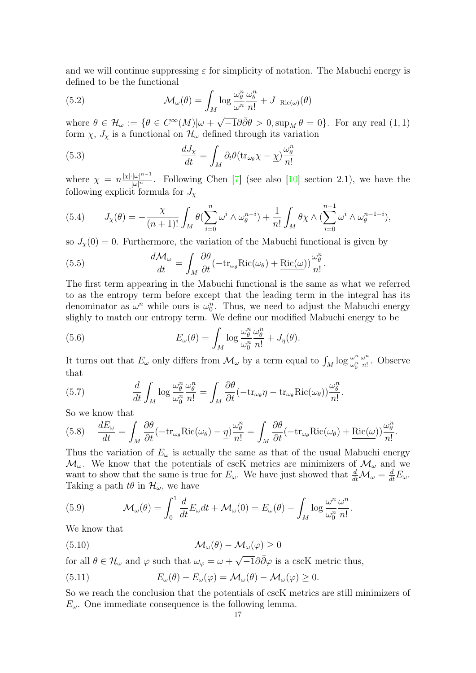and we will continue suppressing  $\varepsilon$  for simplicity of notation. The Mabuchi energy is defined to be the functional

(5.2) 
$$
\mathcal{M}_{\omega}(\theta) = \int_{M} \log \frac{\omega_{\theta}^{n}}{\omega^{n}} \frac{\omega_{\theta}^{n}}{n!} + J_{-\text{Ric}(\omega)}(\theta)
$$

where  $\theta \in \mathcal{H}_{\omega} := \{ \theta \in C^{\infty}(M) | \omega + \omega \}$  $\overline{-1}\partial\bar{\partial}\theta > 0$ , sup<sub>M</sub>  $\theta = 0$ }. For any real  $(1,1)$ form  $\chi$ ,  $J_{\chi}$  is a functional on  $\mathcal{H}_{\omega}$  defined through its variation

(5.3) 
$$
\frac{dJ_{\chi}}{dt} = \int_{M} \partial_{t} \theta (\text{tr}_{\omega_{\theta}} \chi - \underline{\chi}) \frac{\omega_{\theta}^{n}}{n!}
$$

where  $\underline{\chi} = n \frac{[\chi] \cdot [\omega]^{n-1}}{[\omega]^n}$ . Following Chen [\[7\]](#page-20-27) (see also [\[10\]](#page-20-9) section 2.1), we have the following explicit formula for  $J_{\chi}$ 

(5.4) 
$$
J_{\chi}(\theta) = -\frac{\chi}{(n+1)!} \int_M \theta \left( \sum_{i=0}^n \omega^i \wedge \omega_{\theta}^{n-i} \right) + \frac{1}{n!} \int_M \theta \chi \wedge \left( \sum_{i=0}^{n-1} \omega^i \wedge \omega_{\theta}^{n-1-i} \right),
$$

so  $J_{\chi}(0) = 0$ . Furthermore, the variation of the Mabuchi functional is given by

(5.5) 
$$
\frac{d\mathcal{M}_{\omega}}{dt} = \int_{M} \frac{\partial \theta}{\partial t} (-\text{tr}_{\omega_{\theta}} \text{Ric}(\omega_{\theta}) + \frac{\text{Ric}(\omega)}{n!} \frac{\omega_{\theta}^{n}}{n!}.
$$

The first term appearing in the Mabuchi functional is the same as what we referred to as the entropy term before except that the leading term in the integral has its denominator as  $\omega^n$  while ours is  $\omega_0^n$ . Thus, we need to adjust the Mabuchi energy slighly to match our entropy term. We define our modified Mabuchi energy to be

(5.6) 
$$
E_{\omega}(\theta) = \int_M \log \frac{\omega_{\theta}^n}{\omega_0^n} \frac{\omega_{\theta}^n}{n!} + J_{\eta}(\theta).
$$

It turns out that  $E_{\omega}$  only differs from  $\mathcal{M}_{\omega}$  by a term equal to  $\int_M \log \frac{\omega^n}{\omega_0^n}$  $\overline{\omega_0^n}$  $ω<sup>n</sup>$  $\frac{\omega^n}{n!}$ . Observe that

(5.7) 
$$
\frac{d}{dt} \int_M \log \frac{\omega_\theta^n}{\omega_0^n} \frac{\omega_\theta^n}{n!} = \int_M \frac{\partial \theta}{\partial t} (-\text{tr}_{\omega_\theta} \eta - \text{tr}_{\omega_\theta} \text{Ric}(\omega_\theta)) \frac{\omega_\theta^n}{n!}.
$$

So we know that

(5.8) 
$$
\frac{dE_{\omega}}{dt} = \int_{M} \frac{\partial \theta}{\partial t} (-\text{tr}_{\omega_{\theta}} \text{Ric}(\omega_{\theta}) - \underline{\eta}) \frac{\omega_{\theta}^{n}}{n!} = \int_{M} \frac{\partial \theta}{\partial t} (-\text{tr}_{\omega_{\theta}} \text{Ric}(\omega_{\theta}) + \text{Ric}(\omega)) \frac{\omega_{\theta}^{n}}{n!}.
$$

Thus the variation of  $E_{\omega}$  is actually the same as that of the usual Mabuchi energy  $\mathcal{M}_{\omega}$ . We know that the potentials of cscK metrics are minimizers of  $\mathcal{M}_{\omega}$  and we want to show that the same is true for  $E_{\omega}$ . We have just showed that  $\frac{d}{dt}M_{\omega} = \frac{d}{dt}E_{\omega}$ . Taking a path  $t\theta$  in  $\mathcal{H}_{\omega}$ , we have

(5.9) 
$$
\mathcal{M}_{\omega}(\theta) = \int_0^1 \frac{d}{dt} E_{\omega} dt + \mathcal{M}_{\omega}(0) = E_{\omega}(\theta) - \int_M \log \frac{\omega^n}{\omega_0^n} \frac{\omega^n}{n!}.
$$

We know that

(5.10) 
$$
\mathcal{M}_{\omega}(\theta) - \mathcal{M}_{\omega}(\varphi) \geq 0
$$

for all  $\theta \in \mathcal{H}_{\omega}$  and  $\varphi$  such that  $\omega_{\varphi} = \omega + \pi$  $\overline{-1}\partial\bar{\partial}\varphi$  is a cscK metric thus,

(5.11) 
$$
E_{\omega}(\theta) - E_{\omega}(\varphi) = \mathcal{M}_{\omega}(\theta) - \mathcal{M}_{\omega}(\varphi) \geq 0.
$$

So we reach the conclusion that the potentials of cscK metrics are still minimizers of  $E_{\omega}$ . One immediate consequence is the following lemma.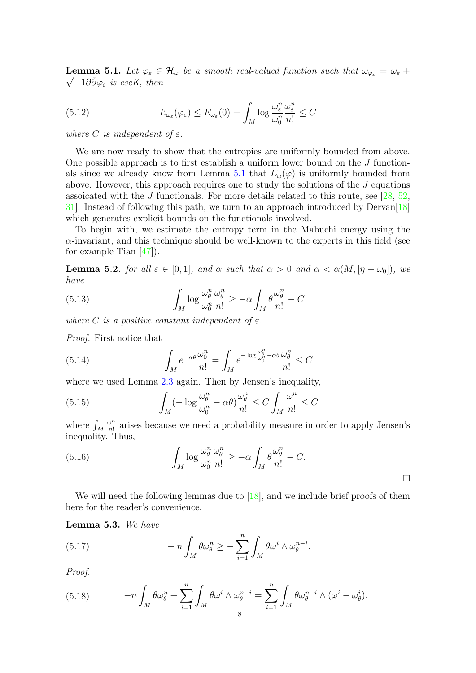<span id="page-17-0"></span>**Lemma 5.1.** Let  $\varphi_{\varepsilon} \in \mathcal{H}_{\omega}$  be a smooth real-valued function such that  $\omega_{\varphi_{\varepsilon}} = \omega_{\varepsilon} +$  $\overline{-1}\partial\bar{\partial}\varphi_{\varepsilon}$  is cscK, then

(5.12) 
$$
E_{\omega_{\varepsilon}}(\varphi_{\varepsilon}) \leq E_{\omega_{\varepsilon}}(0) = \int_M \log \frac{\omega_{\varepsilon}^n}{\omega_0^n} \frac{\omega_{\varepsilon}^n}{n!} \leq C
$$

where C is independent of  $\varepsilon$ .

We are now ready to show that the entropies are uniformly bounded from above. One possible approach is to first establish a uniform lower bound on the J function-als since we already know from Lemma [5.1](#page-17-0) that  $E_{\omega}(\varphi)$  is uniformly bounded from above. However, this approach requires one to study the solutions of the J equations assoicated with the J functionals. For more details related to this route, see  $[28, 52, 52]$  $[28, 52, 52]$  $[28, 52, 52]$  $[28, 52, 52]$ [31\]](#page-21-10). Instead of following this path, we turn to an approach introduced by Dervan[\[18\]](#page-20-22) which generates explicit bounds on the functionals involved.

To begin with, we estimate the entropy term in the Mabuchi energy using the  $\alpha$ -invariant, and this technique should be well-known to the experts in this field (see for example Tian  $[47]$ ).

<span id="page-17-2"></span>**Lemma 5.2.** for all  $\varepsilon \in [0,1]$ , and  $\alpha$  such that  $\alpha > 0$  and  $\alpha < \alpha(M, [\eta + \omega_0])$ , we have

(5.13) 
$$
\int_M \log \frac{\omega_\theta^n}{\omega_0^n} \frac{\omega_\theta^n}{n!} \geq -\alpha \int_M \theta \frac{\omega_\theta^n}{n!} - C
$$

where C is a positive constant independent of  $\varepsilon$ .

Proof. First notice that

(5.14) 
$$
\int_M e^{-\alpha \theta} \frac{\omega_0^n}{n!} = \int_M e^{-\log \frac{\omega_0^n}{\omega_0^n} - \alpha \theta} \frac{\omega_0^n}{n!} \leq C
$$

where we used Lemma [2.3](#page-3-2) again. Then by Jensen's inequality,

(5.15) 
$$
\int_{M} (-\log \frac{\omega_{\theta}^{n}}{\omega_{0}^{n}} - \alpha \theta) \frac{\omega_{\theta}^{n}}{n!} \leq C \int_{M} \frac{\omega^{n}}{n!} \leq C
$$

where  $\int_M$  $\omega^n$  $\frac{\omega^n}{n!}$  arises because we need a probability measure in order to apply Jensen's inequality. Thus,

(5.16) 
$$
\int_M \log \frac{\omega_\theta^n}{\omega_0^n} \frac{\omega_\theta^n}{n!} \geq -\alpha \int_M \theta \frac{\omega_\theta^n}{n!} - C.
$$

We will need the following lemmas due to [\[18\]](#page-20-22), and we include brief proofs of them here for the reader's convenience.

<span id="page-17-1"></span>Lemma 5.3. We have

(5.17) 
$$
- n \int_M \theta \omega_{\theta}^n \geq - \sum_{i=1}^n \int_M \theta \omega^i \wedge \omega_{\theta}^{n-i}.
$$

Proof.

(5.18) 
$$
-n\int_M \theta \omega_\theta^n + \sum_{i=1}^n \int_M \theta \omega^i \wedge \omega_\theta^{n-i} = \sum_{i=1}^n \int_M \theta \omega_\theta^{n-i} \wedge (\omega^i - \omega_\theta^i).
$$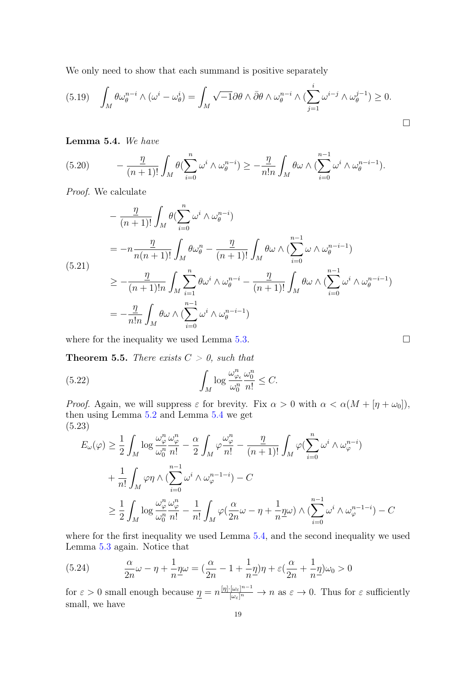We only need to show that each summand is positive separately

$$
(5.19)\quad \int_M \theta \omega_\theta^{n-i} \wedge (\omega^i - \omega_\theta^i) = \int_M \sqrt{-1} \partial \theta \wedge \bar{\partial} \theta \wedge \omega_\theta^{n-i} \wedge (\sum_{j=1}^i \omega^{i-j} \wedge \omega_\theta^{j-1}) \ge 0.
$$

## <span id="page-18-0"></span>Lemma 5.4. We have

(5.20) 
$$
- \frac{\eta}{(n+1)!} \int_M \theta(\sum_{i=0}^n \omega^i \wedge \omega_{\theta}^{n-i}) \geq -\frac{\eta}{n!n} \int_M \theta \omega \wedge (\sum_{i=0}^{n-1} \omega^i \wedge \omega_{\theta}^{n-i-1}).
$$

Proof. We calculate

$$
-\frac{\eta}{(n+1)!} \int_M \theta(\sum_{i=0}^n \omega^i \wedge \omega_{\theta}^{n-i})
$$
  
=  $-n \frac{\eta}{n(n+1)!} \int_M \theta \omega_{\theta}^n - \frac{\eta}{(n+1)!} \int_M \theta \omega \wedge (\sum_{i=0}^{n-1} \omega \wedge \omega_{\theta}^{n-i-1})$   
 $\ge -\frac{\eta}{(n+1)!n} \int_M \sum_{i=1}^n \theta \omega^i \wedge \omega_{\theta}^{n-i} - \frac{\eta}{(n+1)!} \int_M \theta \omega \wedge (\sum_{i=0}^{n-1} \omega^i \wedge \omega_{\theta}^{n-i-1})$   
=  $-\frac{\eta}{n!n} \int_M \theta \omega \wedge (\sum_{i=0}^{n-1} \omega^i \wedge \omega_{\theta}^{n-i-1})$ 

where for the inequality we used Lemma [5.3.](#page-17-1)  $\Box$ 

**Theorem 5.5.** There exists  $C > 0$ , such that

(5.22) 
$$
\int_M \log \frac{\omega_{\varphi_\epsilon}^n}{\omega_0^n} \frac{\omega_0^n}{n!} \leq C.
$$

*Proof.* Again, we will suppress  $\varepsilon$  for brevity. Fix  $\alpha > 0$  with  $\alpha < \alpha(M + [\eta + \omega_0])$ , then using Lemma [5.2](#page-17-2) and Lemma [5.4](#page-18-0) we get (5.23)

$$
E_{\omega}(\varphi) \geq \frac{1}{2} \int_{M} \log \frac{\omega_{\varphi}^{n}}{\omega_{0}^{n}} \frac{\omega_{\varphi}^{n}}{n!} - \frac{\alpha}{2} \int_{M} \varphi \frac{\omega_{\varphi}^{n}}{n!} - \frac{\eta}{(n+1)!} \int_{M} \varphi \left(\sum_{i=0}^{n} \omega^{i} \wedge \omega_{\varphi}^{n-i}\right)
$$
  
+ 
$$
\frac{1}{n!} \int_{M} \varphi \eta \wedge \left(\sum_{i=0}^{n-1} \omega^{i} \wedge \omega_{\varphi}^{n-1-i}\right) - C
$$
  

$$
\geq \frac{1}{2} \int_{M} \log \frac{\omega_{\varphi}^{n}}{\omega_{0}^{n}} \frac{\omega_{\varphi}^{n}}{n!} - \frac{1}{n!} \int_{M} \varphi \left(\frac{\alpha}{2n} \omega - \eta + \frac{1}{n} \underline{\eta} \omega\right) \wedge \left(\sum_{i=0}^{n-1} \omega^{i} \wedge \omega_{\varphi}^{n-1-i}\right) - C
$$

where for the first inequality we used Lemma  $5.4$ , and the second inequality we used Lemma [5.3](#page-17-1) again. Notice that

(5.24) 
$$
\frac{\alpha}{2n}\omega - \eta + \frac{1}{n}\eta\omega = \left(\frac{\alpha}{2n} - 1 + \frac{1}{n}\eta\right)\eta + \varepsilon\left(\frac{\alpha}{2n} + \frac{1}{n}\eta\right)\omega_0 > 0
$$

for  $\varepsilon > 0$  small enough because  $\underline{\eta} = n \frac{[\eta] \cdot [\omega_{\varepsilon}]^{n-1}}{[\omega_{\varepsilon}]^n} \to n$  as  $\varepsilon \to 0$ . Thus for  $\varepsilon$  sufficiently small, we have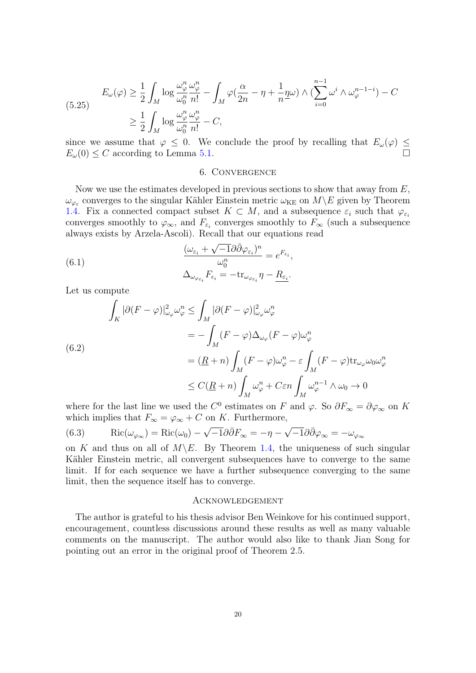$$
E_{\omega}(\varphi) \ge \frac{1}{2} \int_{M} \log \frac{\omega_{\varphi}^{n} \omega_{\varphi}^{n}}{\omega_{0}^{n} n!} - \int_{M} \varphi(\frac{\alpha}{2n} - \eta + \frac{1}{n} \eta \omega) \wedge (\sum_{i=0}^{n-1} \omega^{i} \wedge \omega_{\varphi}^{n-1-i}) - C
$$
  

$$
\ge \frac{1}{2} \int_{M} \log \frac{\omega_{\varphi}^{n} \omega_{\varphi}^{n}}{\omega_{0}^{n} n!} - C,
$$

since we assume that  $\varphi \leq 0$ . We conclude the proof by recalling that  $E_{\omega}(\varphi) \leq$  $E_{\omega}(0) \leq C$  according to Lemma [5.1.](#page-17-0)

### 6. Convergence

<span id="page-19-0"></span>Now we use the estimates developed in previous sections to show that away from  $E$ ,  $\omega_{\varphi_{\varepsilon}}$  converges to the singular Kähler Einstein metric  $\omega_{KE}$  on  $M\backslash E$  given by Theorem [1.4.](#page-1-2) Fix a connected compact subset  $K \subset M$ , and a subsequence  $\varepsilon_i$  such that  $\varphi_{\varepsilon_i}$ converges smoothly to  $\varphi_{\infty}$ , and  $F_{\varepsilon_i}$  converges smoothly to  $F_{\infty}$  (such a subsequence always exists by Arzela-Ascoli). Recall that our equations read √

(6.1) 
$$
\frac{(\omega_{\varepsilon_i} + \sqrt{-1}\partial\bar{\partial}\varphi_{\varepsilon_i})^n}{\omega_0^n} = e^{F_{\varepsilon_i}},
$$

$$
\Delta_{\omega_{\varphi_{\varepsilon_i}}} F_{\varepsilon_i} = -\text{tr}_{\omega_{\varphi_{\varepsilon_i}}} \eta - \underline{R_{\varepsilon_i}}.
$$

Let us compute

$$
\int_{K} |\partial(F - \varphi)|_{\omega_{\varphi}}^{2} \omega_{\varphi}^{n} \leq \int_{M} |\partial(F - \varphi)|_{\omega_{\varphi}}^{2} \omega_{\varphi}^{n}
$$
\n
$$
= -\int_{M} (F - \varphi) \Delta_{\omega_{\varphi}} (F - \varphi) \omega_{\varphi}^{n}
$$
\n
$$
= (\underline{R} + n) \int_{M} (F - \varphi) \omega_{\varphi}^{n} - \varepsilon \int_{M} (F - \varphi) \text{tr}_{\omega_{\varphi}} \omega_{0} \omega_{\varphi}^{n}
$$
\n
$$
\leq C(\underline{R} + n) \int_{M} \omega_{\varphi}^{n} + C \varepsilon n \int_{M} \omega_{\varphi}^{n-1} \wedge \omega_{0} \to 0
$$

where for the last line we used the  $C^0$  estimates on F and  $\varphi$ . So  $\partial F_{\infty} = \partial \varphi_{\infty}$  on K which implies that  $F_{\infty} = \varphi_{\infty} + C$  on K. Furthermore,

(6.3) Ric
$$
(\omega_{\varphi_{\infty}})
$$
 = Ric $(\omega_0)$  –  $\sqrt{-1}\partial\bar{\partial}F_{\infty}$  = – $\eta$  –  $\sqrt{-1}\partial\bar{\partial}\varphi_{\infty}$  = – $\omega_{\varphi_{\infty}}$ 

on K and thus on all of  $M\backslash E$ . By Theorem [1.4,](#page-1-2) the uniqueness of such singular Kähler Einstein metric, all convergent subsequences have to converge to the same limit. If for each sequence we have a further subsequence converging to the same limit, then the sequence itself has to converge.

#### Acknowledgement

The author is grateful to his thesis advisor Ben Weinkove for his continued support, encouragement, countless discussions around these results as well as many valuable comments on the manuscript. The author would also like to thank Jian Song for pointing out an error in the original proof of Theorem 2.5.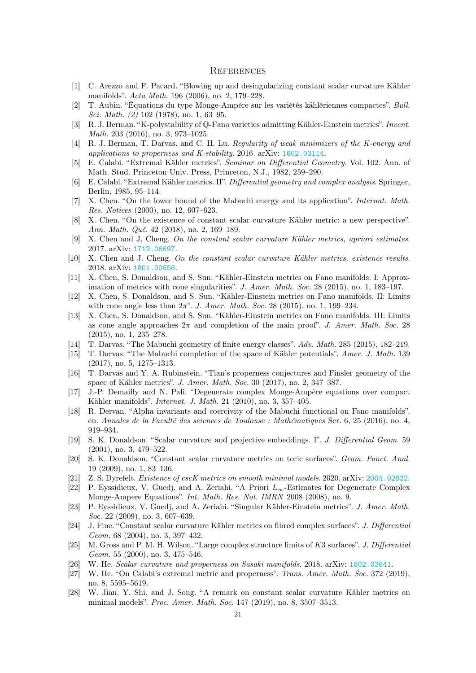#### **REFERENCES**

- <span id="page-20-17"></span>[1] C. Arezzo and F. Pacard. "Blowing up and desingularizing constant scalar curvature Kähler manifolds". Acta Math. 196 (2006), no. 2, 179–228.
- <span id="page-20-2"></span>[2] T. Aubin. "Équations du type Monge-Ampère sur les variétés kählériennes compactes". Bull. Sci. Math. (2) 102 (1978), no. 1, 63–95.
- <span id="page-20-7"></span>[3] R. J. Berman. "K-polystability of Q-Fano varieties admitting Kähler-Einstein metrics". Invent. Math. 203 (2016), no. 3, 973–1025.
- <span id="page-20-13"></span>[4] R. J. Berman, T. Darvas, and C. H. Lu. Regularity of weak minimizers of the K-energy and applications to properness and K-stability. 2016. arXiv: [1602.03114](https://arxiv.org/abs/1602.03114).
- <span id="page-20-0"></span>[5] E. Calabi. "Extremal Kähler metrics". Seminar on Differential Geometry. Vol. 102. Ann. of Math. Stud. Princeton Univ. Press, Princeton, N.J., 1982, 259–290.
- <span id="page-20-1"></span>[6] E. Calabi. "Extremal Kähler metrics. II". Differential geometry and complex analysis. Springer, Berlin, 1985, 95–114.
- <span id="page-20-27"></span>[7] X. Chen. "On the lower bound of the Mabuchi energy and its application". Internat. Math. Res. Notices (2000), no. 12, 607–623.
- <span id="page-20-12"></span>[8] X. Chen. "On the existence of constant scalar curvature Kähler metric: a new perspective". Ann. Math. Qué. 42 (2018), no. 2, 169–189.
- <span id="page-20-21"></span>[9] X. Chen and J. Cheng. On the constant scalar curvature Kähler metrics, apriori estimates. 2017. arXiv: [1712.06697](https://arxiv.org/abs/1712.06697).
- <span id="page-20-9"></span>[10] X. Chen and J. Cheng. On the constant scalar curvature Kähler metrics, existence results. 2018. arXiv: [1801.00656](https://arxiv.org/abs/1801.00656).
- <span id="page-20-3"></span>[11] X. Chen, S. Donaldson, and S. Sun. "Kähler-Einstein metrics on Fano manifolds. I: Approximation of metrics with cone singularities". J. Amer. Math. Soc. 28 (2015), no. 1, 183–197.
- <span id="page-20-4"></span>[12] X. Chen, S. Donaldson, and S. Sun. "Kähler-Einstein metrics on Fano manifolds. II: Limits with cone angle less than  $2\pi$ ". J. Amer. Math. Soc. 28 (2015), no. 1, 199–234.
- <span id="page-20-5"></span>[13] X. Chen, S. Donaldson, and S. Sun. "Kähler-Einstein metrics on Fano manifolds. III: Limits as cone angle approaches  $2\pi$  and completion of the main proof". J. Amer. Math. Soc. 28 (2015), no. 1, 235–278.
- <span id="page-20-11"></span>[14] T. Darvas. "The Mabuchi geometry of finite energy classes". Adv. Math. 285 (2015), 182–219.
- <span id="page-20-10"></span>[15] T. Darvas. "The Mabuchi completion of the space of Kähler potentials". Amer. J. Math. 139 (2017), no. 5, 1275–1313.
- <span id="page-20-14"></span>[16] T. Darvas and Y. A. Rubinstein. "Tian's properness conjectures and Finsler geometry of the space of Kähler metrics". J. Amer. Math. Soc. 30 (2017), no. 2, 347–387.
- <span id="page-20-26"></span>[17] J.-P. Demailly and N. Pali. "Degenerate complex Monge-Ampère equations over compact Kähler manifolds". Internat. J. Math. 21 (2010), no. 3, 357–405.
- <span id="page-20-22"></span>[18] R. Dervan. "Alpha invariants and coercivity of the Mabuchi functional on Fano manifolds". en. Annales de la Faculté des sciences de Toulouse : Mathématiques Ser. 6, 25 (2016), no. 4, 919–934.
- <span id="page-20-6"></span>[19] S. K. Donaldson. "Scalar curvature and projective embeddings. I". J. Differential Geom. 59 (2001), no. 3, 479–522.
- <span id="page-20-8"></span>[20] S. K. Donaldson. "Constant scalar curvature metrics on toric surfaces". Geom. Funct. Anal. 19 (2009), no. 1, 83–136.
- <span id="page-20-16"></span>[21] Z. S. Dyrefelt. Existence of cscK metrics on smooth minimal models. 2020. arXiv: [2004.02832](https://arxiv.org/abs/2004.02832).
- <span id="page-20-25"></span>[22] P. Eyssidieux, V. Guedj, and A. Zeriahi. "A Priori L∞-Estimates for Degenerate Complex Monge-Ampere Equations". Int. Math. Res. Not. IMRN 2008 (2008), no. 9.
- <span id="page-20-20"></span>[23] P. Eyssidieux, V. Guedj, and A. Zeriahi. "Singular Kähler-Einstein metrics". J. Amer. Math. Soc. 22 (2009), no. 3, 607–639.
- <span id="page-20-19"></span>[24] J. Fine. "Constant scalar curvature Kähler metrics on fibred complex surfaces". J. Differential Geom. 68 (2004), no. 3, 397–432.
- <span id="page-20-18"></span>[25] M. Gross and P. M. H. Wilson. "Large complex structure limits of K3 surfaces". J. Differential Geom. 55 (2000), no. 3, 475–546.
- <span id="page-20-23"></span>[26] W. He. Scalar curvature and properness on Sasaki manifolds. 2018. arXiv: [1802.03841](https://arxiv.org/abs/1802.03841).
- <span id="page-20-24"></span>[27] W. He. "On Calabi's extremal metric and properness". Trans. Amer. Math. Soc. 372 (2019), no. 8, 5595–5619.
- <span id="page-20-15"></span>[28] W. Jian, Y. Shi, and J. Song. "A remark on constant scalar curvature Kähler metrics on minimal models". Proc. Amer. Math. Soc. 147 (2019), no. 8, 3507–3513.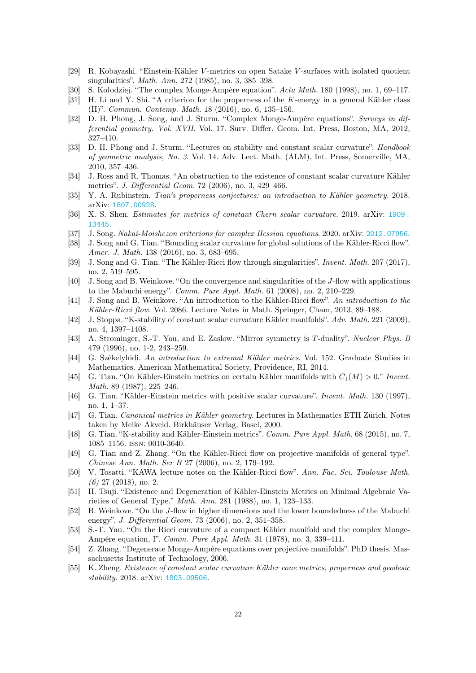- <span id="page-21-13"></span>[29] R. Kobayashi. "Einstein-Kähler V -metrics on open Satake V -surfaces with isolated quotient singularities". Math. Ann. 272 (1985), no. 3, 385–398.
- <span id="page-21-22"></span>[30] S. Kołodziej. "The complex Monge-Ampère equation". Acta Math. 180 (1998), no. 1, 69–117.
- <span id="page-21-10"></span>[31] H. Li and Y. Shi. "A criterion for the properness of the K-energy in a general Kähler class (II)". Commun. Contemp. Math. 18 (2016), no. 6, 135–156.
- <span id="page-21-4"></span>[32] D. H. Phong, J. Song, and J. Sturm. "Complex Monge-Ampère equations". Surveys in differential geometry. Vol. XVII. Vol. 17. Surv. Differ. Geom. Int. Press, Boston, MA, 2012, 327–410.
- <span id="page-21-6"></span>[33] D. H. Phong and J. Sturm. "Lectures on stability and constant scalar curvature". Handbook of geometric analysis, No. 3. Vol. 14. Adv. Lect. Math. (ALM). Int. Press, Somerville, MA, 2010, 357–436.
- <span id="page-21-11"></span>[34] J. Ross and R. Thomas. "An obstruction to the existence of constant scalar curvature Kähler metrics". J. Differential Geom. 72 (2006), no. 3, 429–466.
- <span id="page-21-5"></span>[35] Y. A. Rubinstein. Tian's properness conjectures: an introduction to Kähler geometry. 2018. arXiv: [1807.00928](https://arxiv.org/abs/1807.00928).
- <span id="page-21-19"></span>[36] X. S. Shen. Estimates for metrics of constant Chern scalar curvature. 2019. arXiv: [1909.](https://arxiv.org/abs/1909.13445) [13445](https://arxiv.org/abs/1909.13445).
- <span id="page-21-7"></span>[37] J. Song. Nakai-Moishezon criterions for complex Hessian equations. 2020. arXiv: [2012.07956](https://arxiv.org/abs/2012.07956).
- <span id="page-21-23"></span>[38] J. Song and G. Tian. "Bounding scalar curvature for global solutions of the Kähler-Ricci flow". Amer. J. Math. 138 (2016), no. 3, 683–695.
- <span id="page-21-24"></span>[39] J. Song and G. Tian. "The Kähler-Ricci flow through singularities". *Invent. Math.* 207 (2017), no. 2, 519–595.
- <span id="page-21-9"></span>[40] J. Song and B. Weinkove. "On the convergence and singularities of the J-flow with applications to the Mabuchi energy". Comm. Pure Appl. Math. 61 (2008), no. 2, 210–229.
- <span id="page-21-16"></span>[41] J. Song and B. Weinkove. "An introduction to the Kähler-Ricci flow". An introduction to the Kähler-Ricci flow. Vol. 2086. Lecture Notes in Math. Springer, Cham, 2013, 89–188.
- <span id="page-21-3"></span>[42] J. Stoppa. "K-stability of constant scalar curvature Kähler manifolds". Adv. Math. 221 (2009), no. 4, 1397–1408.
- <span id="page-21-12"></span>[43] A. Strominger, S.-T. Yau, and E. Zaslow. "Mirror symmetry is T-duality". Nuclear Phys. B 479 (1996), no. 1-2, 243–259.
- <span id="page-21-25"></span>[44] G. Székelyhidi. An introduction to extremal Kähler metrics. Vol. 152. Graduate Studies in Mathematics. American Mathematical Society, Providence, RI, 2014.
- <span id="page-21-20"></span>[45] G. Tian. "On Kähler-Einstein metrics on certain Kähler manifolds with  $C_1(M) > 0$ ." Invent. Math. 89 (1987), 225–246.
- <span id="page-21-2"></span>[46] G. Tian. "Kähler-Einstein metrics with positive scalar curvature". Invent. Math. 130 (1997), no. 1, 1–37.
- <span id="page-21-26"></span>[47] G. Tian. Canonical metrics in Kähler geometry. Lectures in Mathematics ETH Zürich. Notes taken by Meike Akveld. Birkhäuser Verlag, Basel, 2000.
- <span id="page-21-1"></span>[48] G. Tian. "K-stability and Kähler-Einstein metrics". Comm. Pure Appl. Math. 68 (2015), no. 7, 1085–1156. issn: 0010-3640.
- <span id="page-21-15"></span>[49] G. Tian and Z. Zhang. "On the Kähler-Ricci flow on projective manifolds of general type". Chinese Ann. Math. Ser B 27 (2006), no. 2, 179–192.
- <span id="page-21-17"></span>[50] V. Tosatti. "KAWA lecture notes on the Kähler-Ricci flow". Ann. Fac. Sci. Toulouse Math. (6) 27 (2018), no. 2.
- <span id="page-21-14"></span>[51] H. Tsuji. "Existence and Degeneration of Kähler-Einstein Metrics on Minimal Algebraic Varieties of General Type." Math. Ann. 281 (1988), no. 1, 123–133.
- <span id="page-21-8"></span>[52] B. Weinkove. "On the J-flow in higher dimensions and the lower boundedness of the Mabuchi energy". J. Differential Geom. 73 (2006), no. 2, 351–358.
- <span id="page-21-0"></span>[53] S.-T. Yau. "On the Ricci curvature of a compact Kähler manifold and the complex Monge-Ampére equation, I". Comm. Pure Appl. Math. 31 (1978), no. 3, 339–411.
- <span id="page-21-21"></span>[54] Z. Zhang. "Degenerate Monge-Ampère equations over projective manifolds". PhD thesis. Massachusetts Institute of Technology, 2006.
- <span id="page-21-18"></span>[55] K. Zheng. Existence of constant scalar curvature Kähler cone metrics, properness and geodesic stability. 2018. arXiv: [1803.09506](https://arxiv.org/abs/1803.09506).